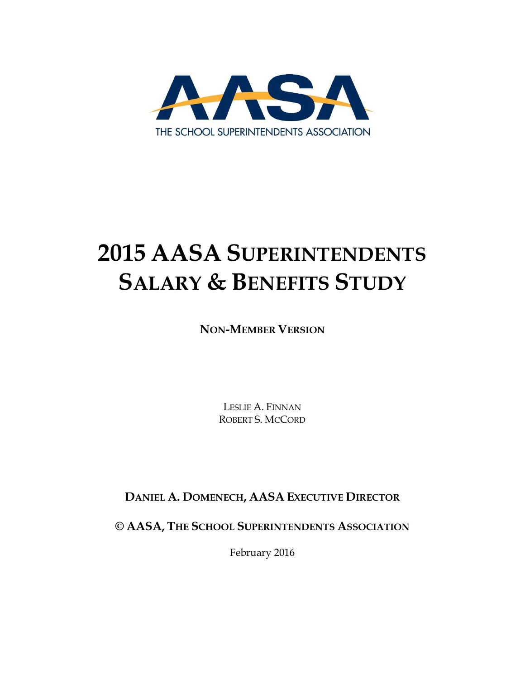

# **2015 AASA SUPERINTENDENTS SALARY & BENEFITS STUDY**

**NON-MEMBER VERSION**

LESLIE A. FINNAN ROBERT S. MCCORD

**DANIEL A. DOMENECH, AASA EXECUTIVE DIRECTOR**

**© AASA, THE SCHOOL SUPERINTENDENTS ASSOCIATION**

February 2016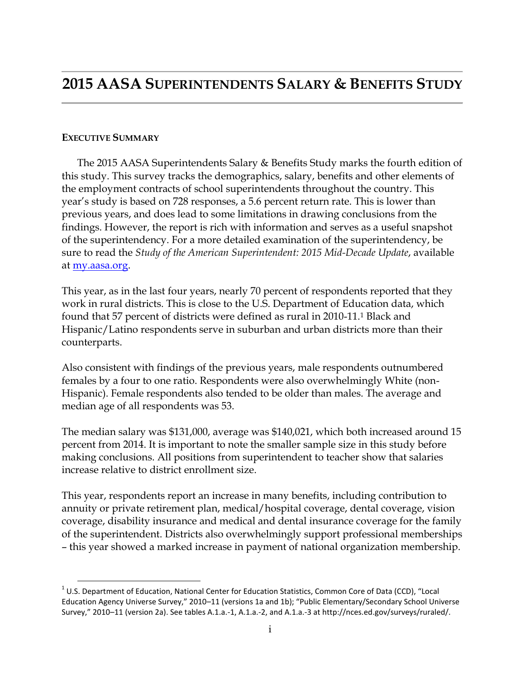#### **EXECUTIVE SUMMARY**

 $\overline{a}$ 

The 2015 AASA Superintendents Salary & Benefits Study marks the fourth edition of this study. This survey tracks the demographics, salary, benefits and other elements of the employment contracts of school superintendents throughout the country. This year's study is based on 728 responses, a 5.6 percent return rate. This is lower than previous years, and does lead to some limitations in drawing conclusions from the findings. However, the report is rich with information and serves as a useful snapshot of the superintendency. For a more detailed examination of the superintendency, be sure to read the *Study of the American Superintendent: 2015 Mid-Decade Update*, available at [my.aasa.org.](file:///C:/Users/LFinnan/Desktop/my.aasa.org)

This year, as in the last four years, nearly 70 percent of respondents reported that they work in rural districts. This is close to the U.S. Department of Education data, which found that 57 percent of districts were defined as rural in 2010-11.<sup>1</sup> Black and Hispanic/Latino respondents serve in suburban and urban districts more than their counterparts.

Also consistent with findings of the previous years, male respondents outnumbered females by a four to one ratio. Respondents were also overwhelmingly White (non-Hispanic). Female respondents also tended to be older than males. The average and median age of all respondents was 53.

The median salary was \$131,000, average was \$140,021, which both increased around 15 percent from 2014. It is important to note the smaller sample size in this study before making conclusions. All positions from superintendent to teacher show that salaries increase relative to district enrollment size.

This year, respondents report an increase in many benefits, including contribution to annuity or private retirement plan, medical/hospital coverage, dental coverage, vision coverage, disability insurance and medical and dental insurance coverage for the family of the superintendent. Districts also overwhelmingly support professional memberships – this year showed a marked increase in payment of national organization membership.

 $1$  U.S. Department of Education, National Center for Education Statistics, Common Core of Data (CCD), "Local Education Agency Universe Survey," 2010–11 (versions 1a and 1b); "Public Elementary/Secondary School Universe Survey," 2010–11 (version 2a). See tables A.1.a.-1, A.1.a.-2, and A.1.a.-3 at http://nces.ed.gov/surveys/ruraled/.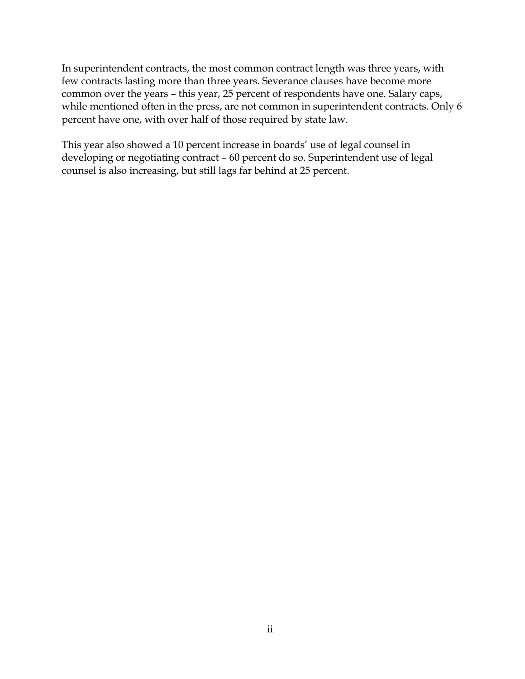In superintendent contracts, the most common contract length was three years, with few contracts lasting more than three years. Severance clauses have become more common over the years – this year, 25 percent of respondents have one. Salary caps, while mentioned often in the press, are not common in superintendent contracts. Only 6 percent have one, with over half of those required by state law.

This year also showed a 10 percent increase in boards' use of legal counsel in developing or negotiating contract – 60 percent do so. Superintendent use of legal counsel is also increasing, but still lags far behind at 25 percent.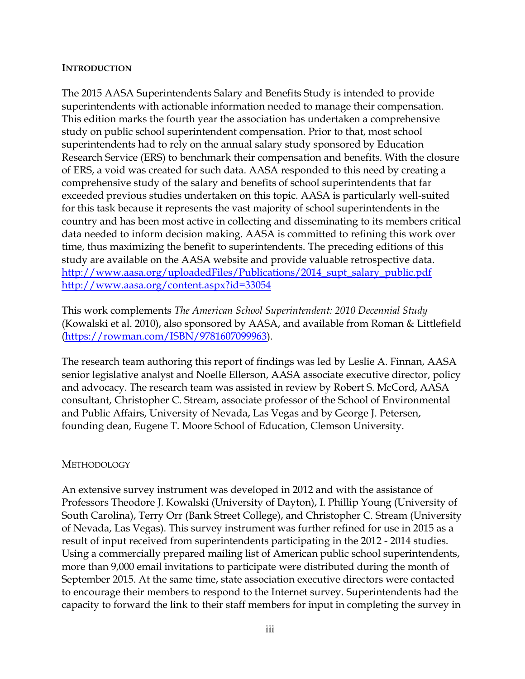#### **INTRODUCTION**

The 2015 AASA Superintendents Salary and Benefits Study is intended to provide superintendents with actionable information needed to manage their compensation. This edition marks the fourth year the association has undertaken a comprehensive study on public school superintendent compensation. Prior to that, most school superintendents had to rely on the annual salary study sponsored by Education Research Service (ERS) to benchmark their compensation and benefits. With the closure of ERS, a void was created for such data. AASA responded to this need by creating a comprehensive study of the salary and benefits of school superintendents that far exceeded previous studies undertaken on this topic. AASA is particularly well-suited for this task because it represents the vast majority of school superintendents in the country and has been most active in collecting and disseminating to its members critical data needed to inform decision making. AASA is committed to refining this work over time, thus maximizing the benefit to superintendents. The preceding editions of this study are available on the AASA website and provide valuable retrospective data. [http://www.aasa.org/uploadedFiles/Publications/2014\\_supt\\_salary\\_public.pdf](http://www.aasa.org/uploadedFiles/Publications/2014_supt_salary_public.pdf) <http://www.aasa.org/content.aspx?id=33054>

This work complements *The American School Superintendent: 2010 Decennial Study* (Kowalski et al. 2010), also sponsored by AASA, and available from Roman & Littlefield [\(https://rowman.com/ISBN/9781607099963\)](https://rowman.com/ISBN/9781607099963).

The research team authoring this report of findings was led by Leslie A. Finnan, AASA senior legislative analyst and Noelle Ellerson, AASA associate executive director, policy and advocacy. The research team was assisted in review by Robert S. McCord, AASA consultant, Christopher C. Stream, associate professor of the School of Environmental and Public Affairs, University of Nevada, Las Vegas and by George J. Petersen, founding dean, Eugene T. Moore School of Education, Clemson University.

#### **METHODOLOGY**

An extensive survey instrument was developed in 2012 and with the assistance of Professors Theodore J. Kowalski (University of Dayton), I. Phillip Young (University of South Carolina), Terry Orr (Bank Street College), and Christopher C. Stream (University of Nevada, Las Vegas). This survey instrument was further refined for use in 2015 as a result of input received from superintendents participating in the 2012 - 2014 studies. Using a commercially prepared mailing list of American public school superintendents, more than 9,000 email invitations to participate were distributed during the month of September 2015. At the same time, state association executive directors were contacted to encourage their members to respond to the Internet survey. Superintendents had the capacity to forward the link to their staff members for input in completing the survey in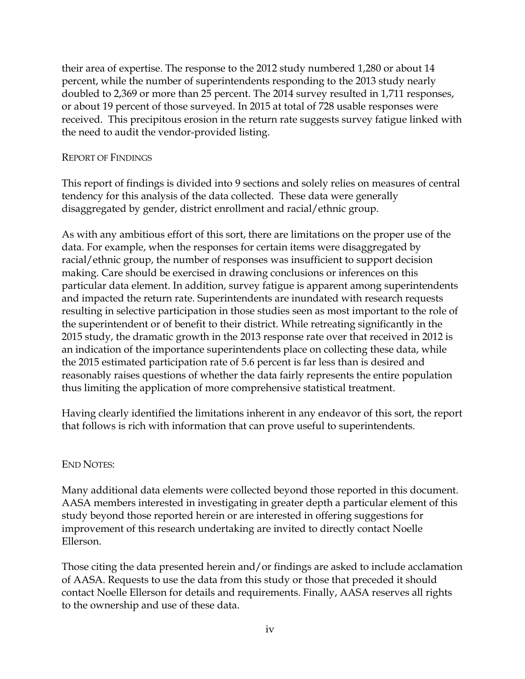their area of expertise. The response to the 2012 study numbered 1,280 or about 14 percent, while the number of superintendents responding to the 2013 study nearly doubled to 2,369 or more than 25 percent. The 2014 survey resulted in 1,711 responses, or about 19 percent of those surveyed. In 2015 at total of 728 usable responses were received. This precipitous erosion in the return rate suggests survey fatigue linked with the need to audit the vendor-provided listing.

#### REPORT OF FINDINGS

This report of findings is divided into 9 sections and solely relies on measures of central tendency for this analysis of the data collected. These data were generally disaggregated by gender, district enrollment and racial/ethnic group.

As with any ambitious effort of this sort, there are limitations on the proper use of the data. For example, when the responses for certain items were disaggregated by racial/ethnic group, the number of responses was insufficient to support decision making. Care should be exercised in drawing conclusions or inferences on this particular data element. In addition, survey fatigue is apparent among superintendents and impacted the return rate. Superintendents are inundated with research requests resulting in selective participation in those studies seen as most important to the role of the superintendent or of benefit to their district. While retreating significantly in the 2015 study, the dramatic growth in the 2013 response rate over that received in 2012 is an indication of the importance superintendents place on collecting these data, while the 2015 estimated participation rate of 5.6 percent is far less than is desired and reasonably raises questions of whether the data fairly represents the entire population thus limiting the application of more comprehensive statistical treatment.

Having clearly identified the limitations inherent in any endeavor of this sort, the report that follows is rich with information that can prove useful to superintendents.

#### END NOTES:

Many additional data elements were collected beyond those reported in this document. AASA members interested in investigating in greater depth a particular element of this study beyond those reported herein or are interested in offering suggestions for improvement of this research undertaking are invited to directly contact Noelle Ellerson.

Those citing the data presented herein and/or findings are asked to include acclamation of AASA. Requests to use the data from this study or those that preceded it should contact Noelle Ellerson for details and requirements. Finally, AASA reserves all rights to the ownership and use of these data.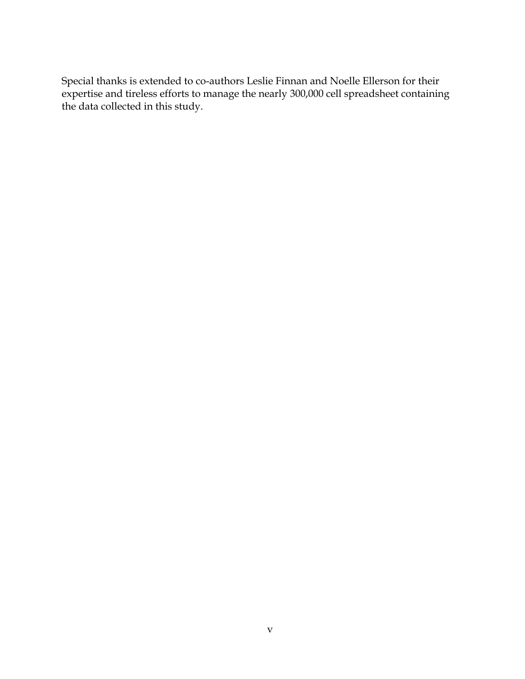Special thanks is extended to co-authors Leslie Finnan and Noelle Ellerson for their expertise and tireless efforts to manage the nearly 300,000 cell spreadsheet containing the data collected in this study.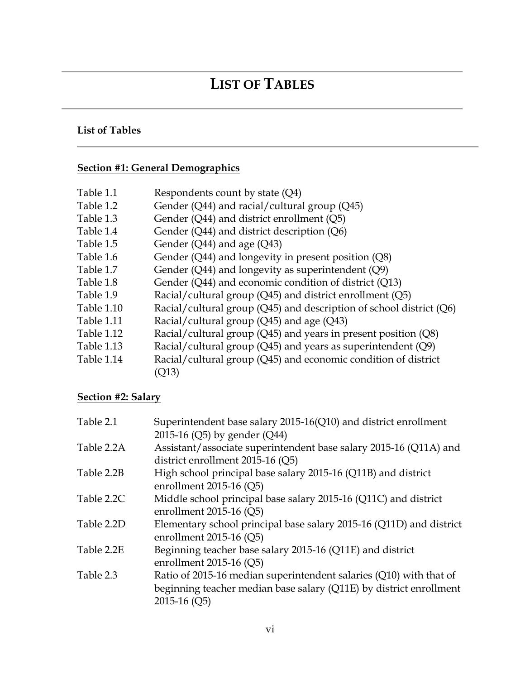### **LIST OF TABLES**

### **List of Tables**

### **Section #1: General Demographics**

| Table 1.1  | Respondents count by state (Q4)                                             |
|------------|-----------------------------------------------------------------------------|
| Table 1.2  | Gender (Q44) and racial/cultural group (Q45)                                |
| Table 1.3  | Gender $(Q44)$ and district enrollment $(Q5)$                               |
| Table 1.4  | Gender $(Q44)$ and district description $(Q6)$                              |
| Table 1.5  | Gender (Q44) and age (Q43)                                                  |
| Table 1.6  | Gender $(Q44)$ and longevity in present position $(Q8)$                     |
| Table 1.7  | Gender (Q44) and longevity as superintendent (Q9)                           |
| Table 1.8  | Gender (Q44) and economic condition of district (Q13)                       |
| Table 1.9  | Racial/cultural group $(Q45)$ and district enrollment $(Q5)$                |
| Table 1.10 | Racial/cultural group ( $Q$ 45) and description of school district ( $Q$ 6) |
| Table 1.11 | Racial/cultural group (Q45) and age (Q43)                                   |
| Table 1.12 | Racial/cultural group ( $Q$ 45) and years in present position ( $Q$ 8)      |
| Table 1.13 | Racial/cultural group ( $Q$ 45) and years as superintendent ( $Q$ 9)        |
| Table 1.14 | Racial/cultural group (Q45) and economic condition of district              |
|            | Q13)                                                                        |

#### **Section #2: Salary**

| Table 2.1  | Superintendent base salary 2015-16(Q10) and district enrollment     |
|------------|---------------------------------------------------------------------|
|            | 2015-16 (Q5) by gender (Q44)                                        |
| Table 2.2A | Assistant/associate superintendent base salary 2015-16 (Q11A) and   |
|            | district enrollment 2015-16 (Q5)                                    |
| Table 2.2B | High school principal base salary 2015-16 (Q11B) and district       |
|            | enrollment 2015-16 $(Q5)$                                           |
| Table 2.2C | Middle school principal base salary 2015-16 (Q11C) and district     |
|            | enrollment 2015-16 $(Q5)$                                           |
| Table 2.2D | Elementary school principal base salary 2015-16 (Q11D) and district |
|            | enrollment 2015-16 $(Q5)$                                           |
| Table 2.2E | Beginning teacher base salary 2015-16 (Q11E) and district           |
|            | enrollment 2015-16 $(Q5)$                                           |
| Table 2.3  | Ratio of 2015-16 median superintendent salaries (Q10) with that of  |
|            | beginning teacher median base salary (Q11E) by district enrollment  |
|            | $2015-16$ (Q5)                                                      |
|            |                                                                     |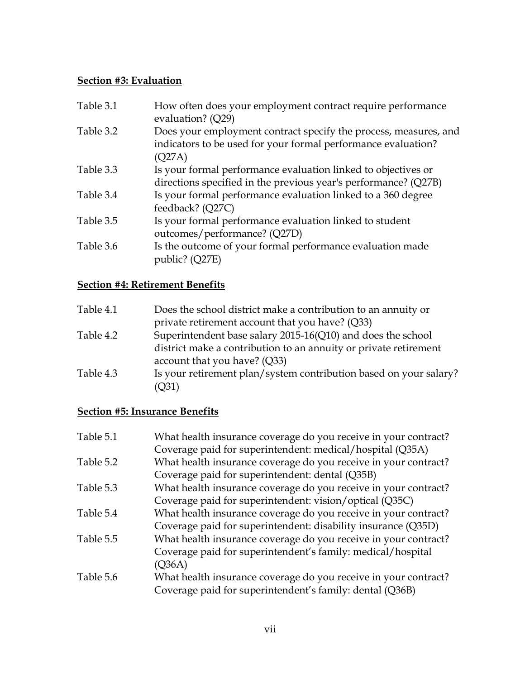#### **Section #3: Evaluation**

| Table 3.1 | How often does your employment contract require performance<br>evaluation? (Q29)                                                            |
|-----------|---------------------------------------------------------------------------------------------------------------------------------------------|
| Table 3.2 | Does your employment contract specify the process, measures, and<br>indicators to be used for your formal performance evaluation?<br>(Q27A) |
| Table 3.3 | Is your formal performance evaluation linked to objectives or<br>directions specified in the previous year's performance? (Q27B)            |
| Table 3.4 | Is your formal performance evaluation linked to a 360 degree<br>feedback? (Q27C)                                                            |
| Table 3.5 | Is your formal performance evaluation linked to student<br>outcomes/performance? (Q27D)                                                     |
| Table 3.6 | Is the outcome of your formal performance evaluation made<br>public? (Q27E)                                                                 |

### **Section #4: Retirement Benefits**

| Table 4.1 | Does the school district make a contribution to an annuity or     |
|-----------|-------------------------------------------------------------------|
|           | private retirement account that you have? (Q33)                   |
| Table 4.2 | Superintendent base salary 2015-16(Q10) and does the school       |
|           | district make a contribution to an annuity or private retirement  |
|           | account that you have? $(Q33)$                                    |
| Table 4.3 | Is your retirement plan/system contribution based on your salary? |
|           | (Q31)                                                             |

### **Section #5: Insurance Benefits**

| Table 5.1 | What health insurance coverage do you receive in your contract? |
|-----------|-----------------------------------------------------------------|
|           | Coverage paid for superintendent: medical/hospital (Q35A)       |
| Table 5.2 | What health insurance coverage do you receive in your contract? |
|           | Coverage paid for superintendent: dental (Q35B)                 |
| Table 5.3 | What health insurance coverage do you receive in your contract? |
|           | Coverage paid for superintendent: vision/optical (Q35C)         |
| Table 5.4 | What health insurance coverage do you receive in your contract? |
|           | Coverage paid for superintendent: disability insurance (Q35D)   |
| Table 5.5 | What health insurance coverage do you receive in your contract? |
|           | Coverage paid for superintendent's family: medical/hospital     |
|           | (Q36A)                                                          |
| Table 5.6 | What health insurance coverage do you receive in your contract? |
|           | Coverage paid for superintendent's family: dental (Q36B)        |
|           |                                                                 |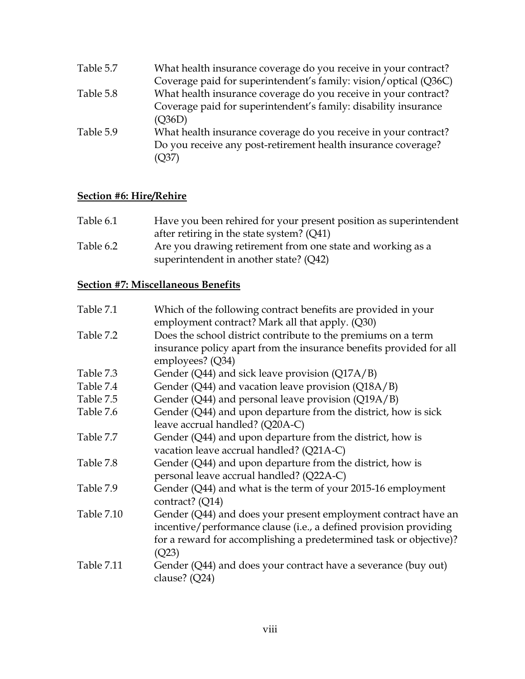| Table 5.7 | What health insurance coverage do you receive in your contract?  |
|-----------|------------------------------------------------------------------|
|           | Coverage paid for superintendent's family: vision/optical (Q36C) |
| Table 5.8 | What health insurance coverage do you receive in your contract?  |
|           | Coverage paid for superintendent's family: disability insurance  |
|           | (Q36D)                                                           |
| Table 5.9 | What health insurance coverage do you receive in your contract?  |
|           | Do you receive any post-retirement health insurance coverage?    |
|           | (Q37)                                                            |

### **Section #6: Hire/Rehire**

| Table 6.1 | Have you been rehired for your present position as superintendent |
|-----------|-------------------------------------------------------------------|
|           | after retiring in the state system? $(Q41)$                       |
| Table 6.2 | Are you drawing retirement from one state and working as a        |
|           | superintendent in another state? (Q42)                            |

### **Section #7: Miscellaneous Benefits**

| Table 7.1         | Which of the following contract benefits are provided in your       |
|-------------------|---------------------------------------------------------------------|
|                   | employment contract? Mark all that apply. (Q30)                     |
| Table 7.2         | Does the school district contribute to the premiums on a term       |
|                   | insurance policy apart from the insurance benefits provided for all |
|                   | employees? (Q34)                                                    |
| Table 7.3         | Gender (Q44) and sick leave provision (Q17A/B)                      |
| Table 7.4         | Gender (Q44) and vacation leave provision (Q18A/B)                  |
| Table 7.5         | Gender ( $Q$ 44) and personal leave provision ( $Q$ 19A/B)          |
| Table 7.6         | Gender (Q44) and upon departure from the district, how is sick      |
|                   | leave accrual handled? (Q20A-C)                                     |
| Table 7.7         | Gender (Q44) and upon departure from the district, how is           |
|                   | vacation leave accrual handled? (Q21A-C)                            |
| Table 7.8         | Gender (Q44) and upon departure from the district, how is           |
|                   | personal leave accrual handled? (Q22A-C)                            |
| Table 7.9         | Gender (Q44) and what is the term of your 2015-16 employment        |
|                   | contract? (Q14)                                                     |
| <b>Table 7.10</b> | Gender (Q44) and does your present employment contract have an      |
|                   | incentive/performance clause (i.e., a defined provision providing   |
|                   | for a reward for accomplishing a predetermined task or objective)?  |
|                   | (Q23)                                                               |
| Table 7.11        | Gender (Q44) and does your contract have a severance (buy out)      |
|                   | clause? (Q24)                                                       |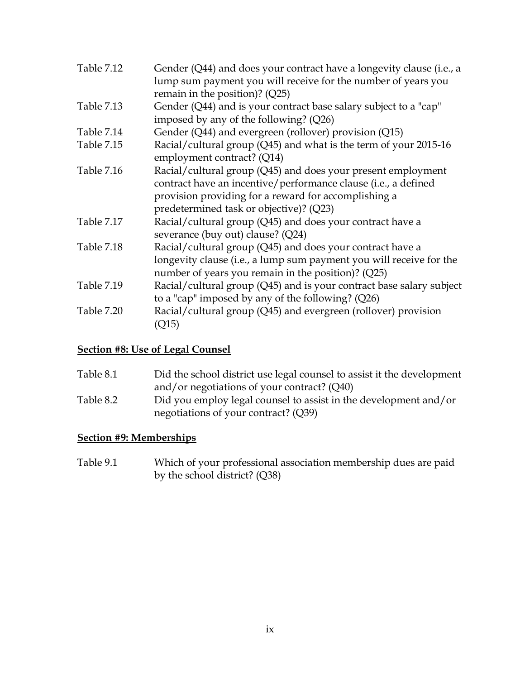| <b>Table 7.12</b> | Gender (Q44) and does your contract have a longevity clause (i.e., a<br>lump sum payment you will receive for the number of years you<br>remain in the position)? (Q25)                                                           |
|-------------------|-----------------------------------------------------------------------------------------------------------------------------------------------------------------------------------------------------------------------------------|
| Table 7.13        | Gender (Q44) and is your contract base salary subject to a "cap"<br>imposed by any of the following? (Q26)                                                                                                                        |
| Table 7.14        | Gender (Q44) and evergreen (rollover) provision (Q15)                                                                                                                                                                             |
| Table 7.15        | Racial/cultural group (Q45) and what is the term of your 2015-16<br>employment contract? (Q14)                                                                                                                                    |
| Table 7.16        | Racial/cultural group (Q45) and does your present employment<br>contract have an incentive/performance clause (i.e., a defined<br>provision providing for a reward for accomplishing a<br>predetermined task or objective)? (Q23) |
| Table 7.17        | Racial/cultural group (Q45) and does your contract have a<br>severance (buy out) clause? (Q24)                                                                                                                                    |
| <b>Table 7.18</b> | Racial/cultural group (Q45) and does your contract have a<br>longevity clause (i.e., a lump sum payment you will receive for the<br>number of years you remain in the position)? (Q25)                                            |
| Table 7.19        | Racial/cultural group (Q45) and is your contract base salary subject<br>to a "cap" imposed by any of the following? (Q26)                                                                                                         |
| Table 7.20        | Racial/cultural group (Q45) and evergreen (rollover) provision<br>(Q15)                                                                                                                                                           |

#### **Section #8: Use of Legal Counsel**

| Table 8.1 | Did the school district use legal counsel to assist it the development                                   |
|-----------|----------------------------------------------------------------------------------------------------------|
|           | and/or negotiations of your contract? (Q40)                                                              |
| Table 8.2 | Did you employ legal counsel to assist in the development and/or<br>negotiations of your contract? (Q39) |
|           |                                                                                                          |

### **Section #9: Memberships**

Table 9.1 Which of your professional association membership dues are paid by the school district? (Q38)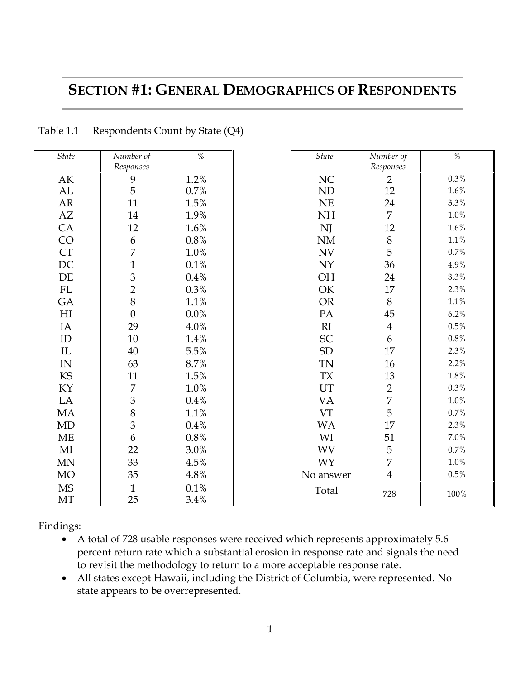### **SECTION #1: GENERAL DEMOGRAPHICS OF RESPONDENTS**

| <b>State</b>             | Number of          | $\%$         | <b>State</b> | Number of               | $\%$      |
|--------------------------|--------------------|--------------|--------------|-------------------------|-----------|
|                          | Responses          |              |              | Responses               |           |
| AK                       | 9<br>5             | 1.2%         | NC           | $\overline{2}$          | 0.3%      |
| AL                       |                    | 0.7%         | ND           | 12                      | 1.6%      |
| ${\sf AR}$               | 11                 | 1.5%         | NE           | 24                      | 3.3%      |
| AZ                       | 14                 | 1.9%         | <b>NH</b>    | $\overline{7}$          | $1.0\%$   |
| CA                       | 12                 | 1.6%         | NJ           | 12                      | $1.6\%$   |
| CO                       | 6                  | $0.8\%$      | NM           | $8\,$                   | $1.1\%$   |
| CT                       | 7                  | 1.0%         | <b>NV</b>    | 5                       | 0.7%      |
| $\rm DC$                 | $\mathbf{1}$       | 0.1%         | <b>NY</b>    | 36                      | $4.9\%$   |
| DE                       | $\overline{3}$     | 0.4%         | OH           | 24                      | 3.3%      |
| FL                       | $\overline{2}$     | 0.3%         | OK           | 17                      | 2.3%      |
| GA                       | 8                  | 1.1%         | <b>OR</b>    | $8\,$                   | $1.1\%$   |
| H                        | $\overline{0}$     | $0.0\%$      | PA           | 45                      | 6.2%      |
| IA                       | 29                 | 4.0%         | RI           | $\overline{4}$          | $0.5\%$   |
| ID                       | $10\,$             | 1.4%         | ${\rm SC}$   | 6                       | $0.8\,\%$ |
| IL                       | 40                 | 5.5%         | SD           | 17                      | 2.3%      |
| $\ensuremath{\text{IN}}$ | 63                 | 8.7%         | <b>TN</b>    | $16\,$                  | 2.2%      |
| KS                       | 11                 | 1.5%         | <b>TX</b>    | 13                      | $1.8\%$   |
| KY                       | $\overline{7}$     | 1.0%         | UT           | $\frac{2}{7}$           | $0.3\,\%$ |
| ${\rm LA}$               | 3                  | 0.4%         | VA           |                         | $1.0\%$   |
| MA                       | $\,8\,$            | 1.1%         | <b>VT</b>    | 5                       | 0.7%      |
| MD                       | 3                  | 0.4%         | <b>WA</b>    | 17                      | 2.3%      |
| ME                       | 6                  | 0.8%         | WI           | 51                      | 7.0%      |
| MI                       | 22                 | 3.0%         | <b>WV</b>    | 5                       | 0.7%      |
| MN                       | 33                 | 4.5%         | WY           | $\overline{7}$          | $1.0\%$   |
| <b>MO</b>                | 35                 | 4.8%         | No answer    | $\overline{\mathbf{4}}$ | $0.5\%$   |
| <b>MS</b><br>MT          | $\mathbf{1}$<br>25 | 0.1%<br>3.4% | Total        | 728                     | 100%      |
|                          |                    |              |              |                         |           |

#### Table 1.1 Respondents Count by State (Q4)

Findings:

- A total of 728 usable responses were received which represents approximately 5.6 percent return rate which a substantial erosion in response rate and signals the need to revisit the methodology to return to a more acceptable response rate.
- All states except Hawaii, including the District of Columbia, were represented. No state appears to be overrepresented.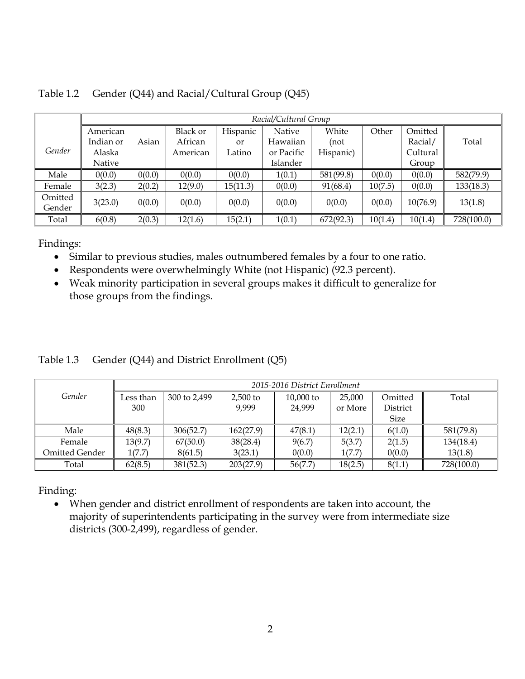|         |           | Racial/Cultural Group |                 |          |            |           |         |          |            |
|---------|-----------|-----------------------|-----------------|----------|------------|-----------|---------|----------|------------|
|         | American  |                       | <b>Black or</b> | Hispanic | Native     | White     | Other   | Omitted  |            |
|         | Indian or | Asian                 | African         | or       | Hawaiian   | (not      |         | Racial/  | Total      |
| Gender  | Alaska    |                       | American        | Latino   | or Pacific | Hispanic) |         | Cultural |            |
|         | Native    |                       |                 |          | Islander   |           |         | Group    |            |
| Male    | 0(0.0)    | 0(0.0)                | 0(0.0)          | 0(0.0)   | 1(0.1)     | 581(99.8) | 0(0.0)  | 0(0.0)   | 582(79.9)  |
| Female  | 3(2.3)    | 2(0.2)                | 12(9.0)         | 15(11.3) | 0(0.0)     | 91(68.4)  | 10(7.5) | 0(0.0)   | 133(18.3)  |
| Omitted | 3(23.0)   | 0(0.0)                | 0(0.0)          | 0(0.0)   | 0(0.0)     | 0(0.0)    | 0(0.0)  | 10(76.9) | 13(1.8)    |
| Gender  |           |                       |                 |          |            |           |         |          |            |
| Total   | 6(0.8)    | 2(0.3)                | 12(1.6)         | 15(2.1)  | 1(0.1)     | 672(92.3) | 10(1.4) | 10(1.4)  | 728(100.0) |

Table 1.2 Gender (Q44) and Racial/Cultural Group (Q45)

- Similar to previous studies, males outnumbered females by a four to one ratio.
- Respondents were overwhelmingly White (not Hispanic) (92.3 percent).
- Weak minority participation in several groups makes it difficult to generalize for those groups from the findings.

|  |  | Table 1.3 Gender (Q44) and District Enrollment (Q5) |  |
|--|--|-----------------------------------------------------|--|
|  |  |                                                     |  |

|                |           | 2015-2016 District Enrollment |            |             |         |             |            |  |  |  |  |
|----------------|-----------|-------------------------------|------------|-------------|---------|-------------|------------|--|--|--|--|
| Gender         | Less than | 300 to 2,499                  | $2.500$ to | $10,000$ to | 25,000  | Omitted     | Total      |  |  |  |  |
|                | 300       |                               | 9,999      | 24,999      | or More | District    |            |  |  |  |  |
|                |           |                               |            |             |         | <b>Size</b> |            |  |  |  |  |
| Male           | 48(8.3)   | 306(52.7)                     | 162(27.9)  | 47(8.1)     | 12(2.1) | 6(1.0)      | 581(79.8)  |  |  |  |  |
| Female         | 13(9.7)   | 67(50.0)                      | 38(28.4)   | 9(6.7)      | 5(3.7)  | 2(1.5)      | 134(18.4)  |  |  |  |  |
| Omitted Gender | 1(7.7)    | 8(61.5)                       | 3(23.1)    | 0(0.0)      | 1(7.7)  | 0(0.0)      | 13(1.8)    |  |  |  |  |
| Total          | 62(8.5)   | 381(52.3)                     | 203(27.9)  | 56(7.7)     | 18(2.5) | 8(1.1)      | 728(100.0) |  |  |  |  |

Finding:

 When gender and district enrollment of respondents are taken into account, the majority of superintendents participating in the survey were from intermediate size districts (300-2,499), regardless of gender.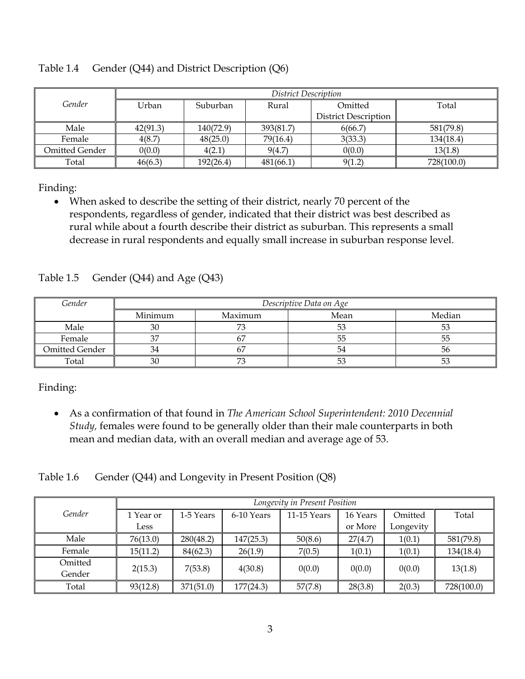|                | District Description |           |           |                             |            |  |  |  |
|----------------|----------------------|-----------|-----------|-----------------------------|------------|--|--|--|
| Gender         | Urban                | Suburban  |           | Omitted                     | Total      |  |  |  |
|                |                      |           |           | <b>District Description</b> |            |  |  |  |
| Male           | 42(91.3)             | 140(72.9) | 393(81.7) | 6(66.7)                     | 581(79.8)  |  |  |  |
| Female         | 4(8.7)               | 48(25.0)  | 79(16.4)  | 3(33.3)                     | 134(18.4)  |  |  |  |
| Omitted Gender | 0(0.0)               | 4(2.1)    | 9(4.7)    | 0(0.0)                      | 13(1.8)    |  |  |  |
| Total          | 46(6.3)              | 192(26.4) | 481(66.1) | 9(1.2)                      | 728(100.0) |  |  |  |

Table 1.4 Gender (Q44) and District Description (Q6)

 When asked to describe the setting of their district, nearly 70 percent of the respondents, regardless of gender, indicated that their district was best described as rural while about a fourth describe their district as suburban. This represents a small decrease in rural respondents and equally small increase in suburban response level.

|  | Table 1.5 Gender $(Q44)$ and Age $(Q43)$ |
|--|------------------------------------------|
|--|------------------------------------------|

| Gender                | Descriptive Data on Age |        |    |    |  |  |  |  |
|-----------------------|-------------------------|--------|----|----|--|--|--|--|
|                       | Minimum                 | Median |    |    |  |  |  |  |
| Male                  | 30                      |        | ◡  | 53 |  |  |  |  |
| Female                | $\sim$                  |        | 55 | 55 |  |  |  |  |
| <b>Omitted Gender</b> |                         |        | 54 | 56 |  |  |  |  |
| Total                 | 30                      |        | Ээ | 53 |  |  |  |  |

Finding:

 As a confirmation of that found in *The American School Superintendent: 2010 Decennial Study,* females were found to be generally older than their male counterparts in both mean and median data, with an overall median and average age of 53.

Table 1.6 Gender (Q44) and Longevity in Present Position (Q8)

|         | Longevity in Present Position |           |            |             |          |           |            |  |  |
|---------|-------------------------------|-----------|------------|-------------|----------|-----------|------------|--|--|
| Gender  | 1 Year or                     | 1-5 Years | 6-10 Years | 11-15 Years | 16 Years | Omitted   | Total      |  |  |
|         | Less                          |           |            |             | or More  | Longevity |            |  |  |
| Male    | 76(13.0)                      | 280(48.2) | 147(25.3)  | 50(8.6)     | 27(4.7)  | 1(0.1)    | 581(79.8)  |  |  |
| Female  | 15(11.2)                      | 84(62.3)  | 26(1.9)    | 7(0.5)      | 1(0.1)   | 1(0.1)    | 134(18.4)  |  |  |
| Omitted | 2(15.3)                       | 7(53.8)   | 4(30.8)    | 0(0.0)      | 0(0.0)   | 0(0.0)    | 13(1.8)    |  |  |
| Gender  |                               |           |            |             |          |           |            |  |  |
| Total   | 93(12.8)                      | 371(51.0) | 177(24.3)  | 57(7.8)     | 28(3.8)  | 2(0.3)    | 728(100.0) |  |  |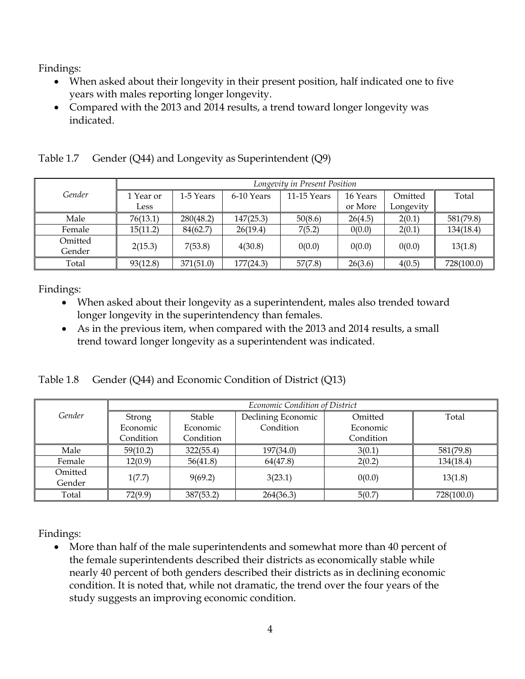- When asked about their longevity in their present position, half indicated one to five years with males reporting longer longevity.
- Compared with the 2013 and 2014 results, a trend toward longer longevity was indicated.

|         | Longevity in Present Position |           |            |               |          |           |            |  |  |
|---------|-------------------------------|-----------|------------|---------------|----------|-----------|------------|--|--|
| Gender  | 1 Year or                     | 1-5 Years | 6-10 Years | $11-15$ Years | 16 Years | Omitted   | Total      |  |  |
|         | Less                          |           |            |               | or More  | Longevity |            |  |  |
| Male    | 76(13.1)                      | 280(48.2) | 147(25.3)  | 50(8.6)       | 26(4.5)  | 2(0.1)    | 581(79.8)  |  |  |
| Female  | 15(11.2)                      | 84(62.7)  | 26(19.4)   | 7(5.2)        | 0(0.0)   | 2(0.1)    | 134(18.4)  |  |  |
| Omitted |                               |           |            |               |          |           |            |  |  |
| Gender  | 2(15.3)                       | 7(53.8)   | 4(30.8)    | 0(0.0)        | 0(0.0)   | 0(0.0)    | 13(1.8)    |  |  |
| Total   | 93(12.8)                      | 371(51.0) | 177(24.3)  | 57(7.8)       | 26(3.6)  | 4(0.5)    | 728(100.0) |  |  |

Table 1.7 Gender (Q44) and Longevity as Superintendent (Q9)

Findings:

- When asked about their longevity as a superintendent, males also trended toward longer longevity in the superintendency than females.
- As in the previous item, when compared with the 2013 and 2014 results, a small trend toward longer longevity as a superintendent was indicated.

Table 1.8 Gender (Q44) and Economic Condition of District (Q13)

|         | Economic Condition of District |           |                    |           |            |  |  |
|---------|--------------------------------|-----------|--------------------|-----------|------------|--|--|
| Gender  | Strong                         | Stable    | Declining Economic | Omitted   | Total      |  |  |
|         | Economic                       | Economic  | Condition          | Economic  |            |  |  |
|         | Condition                      | Condition |                    | Condition |            |  |  |
| Male    | 59(10.2)                       | 322(55.4) | 197(34.0)          | 3(0.1)    | 581(79.8)  |  |  |
| Female  | 12(0.9)                        | 56(41.8)  | 64(47.8)           | 2(0.2)    | 134(18.4)  |  |  |
| Omitted | 1(7.7)                         | 9(69.2)   | 3(23.1)            | 0(0.0)    | 13(1.8)    |  |  |
| Gender  |                                |           |                    |           |            |  |  |
| Total   | 72(9.9)                        | 387(53.2) | 264(36.3)          | 5(0.7)    | 728(100.0) |  |  |

Findings:

 More than half of the male superintendents and somewhat more than 40 percent of the female superintendents described their districts as economically stable while nearly 40 percent of both genders described their districts as in declining economic condition. It is noted that, while not dramatic, the trend over the four years of the study suggests an improving economic condition.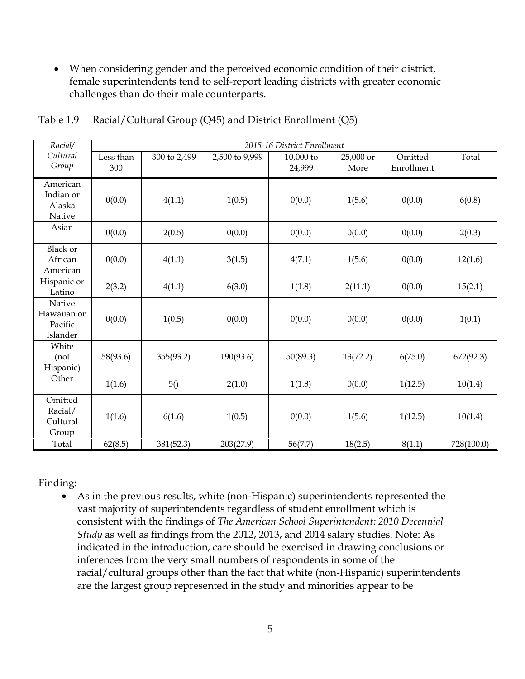When considering gender and the perceived economic condition of their district, female superintendents tend to self-report leading districts with greater economic challenges than do their male counterparts.

| Racial/                                      |                  |              |                | 2015-16 District Enrollment |                   |                       |            |
|----------------------------------------------|------------------|--------------|----------------|-----------------------------|-------------------|-----------------------|------------|
| Cultural<br>Group                            | Less than<br>300 | 300 to 2,499 | 2,500 to 9,999 | 10,000 to<br>24,999         | 25,000 or<br>More | Omitted<br>Enrollment | Total      |
| American<br>Indian or<br>Alaska<br>Native    | 0(0.0)           | 4(1.1)       | 1(0.5)         | 0(0.0)                      | 1(5.6)            | 0(0.0)                | 6(0.8)     |
| Asian                                        | 0(0.0)           | 2(0.5)       | 0(0.0)         | 0(0.0)                      | 0(0.0)            | 0(0.0)                | 2(0.3)     |
| <b>Black or</b><br>African<br>American       | 0(0.0)           | 4(1.1)       | 3(1.5)         | 4(7.1)                      | 1(5.6)            | 0(0.0)                | 12(1.6)    |
| Hispanic or<br>Latino                        | 2(3.2)           | 4(1.1)       | 6(3.0)         | 1(1.8)                      | 2(11.1)           | 0(0.0)                | 15(2.1)    |
| Native<br>Hawaiian or<br>Pacific<br>Islander | 0(0.0)           | 1(0.5)       | 0(0.0)         | 0(0.0)                      | 0(0.0)            | 0(0.0)                | 1(0.1)     |
| White<br>(not<br>Hispanic)                   | 58(93.6)         | 355(93.2)    | 190(93.6)      | 50(89.3)                    | 13(72.2)          | 6(75.0)               | 672(92.3)  |
| Other                                        | 1(1.6)           | 5()          | 2(1.0)         | 1(1.8)                      | 0(0.0)            | 1(12.5)               | 10(1.4)    |
| Omitted<br>Racial/<br>Cultural<br>Group      | 1(1.6)           | 6(1.6)       | 1(0.5)         | 0(0.0)                      | 1(5.6)            | 1(12.5)               | 10(1.4)    |
| Total                                        | 62(8.5)          | 381(52.3)    | 203(27.9)      | 56(7.7)                     | 18(2.5)           | 8(1.1)                | 728(100.0) |

#### Table 1.9 Racial/Cultural Group (Q45) and District Enrollment (Q5)

Finding:

 As in the previous results, white (non-Hispanic) superintendents represented the vast majority of superintendents regardless of student enrollment which is consistent with the findings of *The American School Superintendent: 2010 Decennial Study* as well as findings from the 2012, 2013, and 2014 salary studies. Note: As indicated in the introduction, care should be exercised in drawing conclusions or inferences from the very small numbers of respondents in some of the racial/cultural groups other than the fact that white (non-Hispanic) superintendents are the largest group represented in the study and minorities appear to be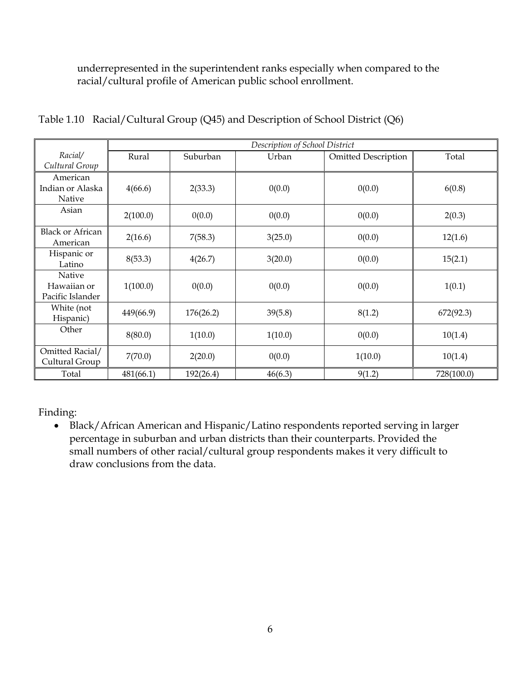underrepresented in the superintendent ranks especially when compared to the racial/cultural profile of American public school enrollment.

|                                           |           |           | Description of School District |                            |            |
|-------------------------------------------|-----------|-----------|--------------------------------|----------------------------|------------|
| Racial/<br>Cultural Group                 | Rural     | Suburban  | Urban                          | <b>Omitted Description</b> | Total      |
| American<br>Indian or Alaska<br>Native    | 4(66.6)   | 2(33.3)   | 0(0.0)                         | 0(0.0)                     | 6(0.8)     |
| Asian                                     | 2(100.0)  | 0(0.0)    | 0(0.0)                         | 0(0.0)                     | 2(0.3)     |
| <b>Black or African</b><br>American       | 2(16.6)   | 7(58.3)   | 3(25.0)                        | 0(0.0)                     | 12(1.6)    |
| Hispanic or<br>Latino                     | 8(53.3)   | 4(26.7)   | 3(20.0)                        | 0(0.0)                     | 15(2.1)    |
| Native<br>Hawaiian or<br>Pacific Islander | 1(100.0)  | 0(0.0)    | 0(0.0)                         | 0(0.0)                     | 1(0.1)     |
| White (not<br>Hispanic)                   | 449(66.9) | 176(26.2) | 39(5.8)                        | 8(1.2)                     | 672(92.3)  |
| Other                                     | 8(80.0)   | 1(10.0)   | 1(10.0)                        | 0(0.0)                     | 10(1.4)    |
| Omitted Racial/<br>Cultural Group         | 7(70.0)   | 2(20.0)   | 0(0.0)                         | 1(10.0)                    | 10(1.4)    |
| Total                                     | 481(66.1) | 192(26.4) | 46(6.3)                        | 9(1.2)                     | 728(100.0) |

Table 1.10 Racial/Cultural Group (Q45) and Description of School District (Q6)

Finding:

 Black/African American and Hispanic/Latino respondents reported serving in larger percentage in suburban and urban districts than their counterparts. Provided the small numbers of other racial/cultural group respondents makes it very difficult to draw conclusions from the data.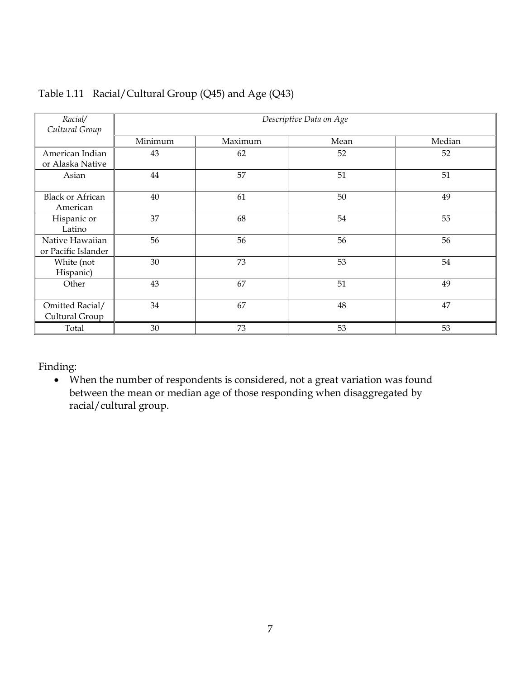| Racial/                                |         |        | Descriptive Data on Age |    |  |  |  |  |  |
|----------------------------------------|---------|--------|-------------------------|----|--|--|--|--|--|
| Cultural Group                         |         |        |                         |    |  |  |  |  |  |
|                                        | Minimum | Median |                         |    |  |  |  |  |  |
| American Indian<br>or Alaska Native    | 43      | 62     | 52                      | 52 |  |  |  |  |  |
| Asian                                  | 44      | 57     | 51                      | 51 |  |  |  |  |  |
| <b>Black or African</b><br>American    | 40      | 61     | 50                      | 49 |  |  |  |  |  |
| Hispanic or<br>Latino                  | 37      | 68     | 54                      | 55 |  |  |  |  |  |
| Native Hawaiian<br>or Pacific Islander | 56      | 56     | 56                      | 56 |  |  |  |  |  |
| White (not<br>Hispanic)                | 30      | 73     | 53                      | 54 |  |  |  |  |  |
| Other                                  | 43      | 67     | 51                      | 49 |  |  |  |  |  |
| Omitted Racial/<br>Cultural Group      | 34      | 67     | 48                      | 47 |  |  |  |  |  |
| Total                                  | 30      | 73     | 53                      | 53 |  |  |  |  |  |

#### Table 1.11 Racial/Cultural Group (Q45) and Age (Q43)

#### Finding:

 When the number of respondents is considered, not a great variation was found between the mean or median age of those responding when disaggregated by racial/cultural group.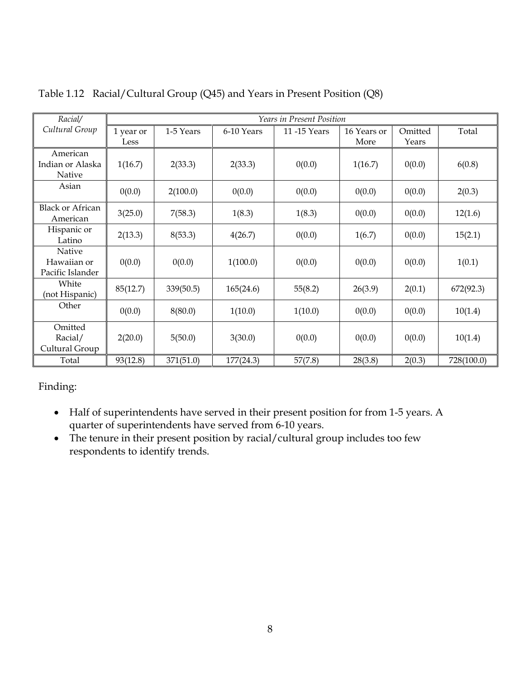| Racial/                                   |                   |           |            | <b>Years in Present Position</b> |                     |                  |            |
|-------------------------------------------|-------------------|-----------|------------|----------------------------------|---------------------|------------------|------------|
| Cultural Group                            | 1 year or<br>Less | 1-5 Years | 6-10 Years | 11-15 Years                      | 16 Years or<br>More | Omitted<br>Years | Total      |
| American<br>Indian or Alaska<br>Native    | 1(16.7)           | 2(33.3)   | 2(33.3)    | 0(0.0)                           | 1(16.7)             | 0(0.0)           | 6(0.8)     |
| Asian                                     | 0(0.0)            | 2(100.0)  | 0(0.0)     | 0(0.0)                           | 0(0.0)              | 0(0.0)           | 2(0.3)     |
| <b>Black or African</b><br>American       | 3(25.0)           | 7(58.3)   | 1(8.3)     | 1(8.3)                           | 0(0.0)              | 0(0.0)           | 12(1.6)    |
| Hispanic or<br>Latino                     | 2(13.3)           | 8(53.3)   | 4(26.7)    | 0(0.0)                           | 1(6.7)              | 0(0.0)           | 15(2.1)    |
| Native<br>Hawaiian or<br>Pacific Islander | 0(0.0)            | 0(0.0)    | 1(100.0)   | 0(0.0)                           | 0(0.0)              | 0(0.0)           | 1(0.1)     |
| White<br>(not Hispanic)                   | 85(12.7)          | 339(50.5) | 165(24.6)  | 55(8.2)                          | 26(3.9)             | 2(0.1)           | 672(92.3)  |
| Other                                     | 0(0.0)            | 8(80.0)   | 1(10.0)    | 1(10.0)                          | 0(0.0)              | 0(0.0)           | 10(1.4)    |
| Omitted<br>Racial/<br>Cultural Group      | 2(20.0)           | 5(50.0)   | 3(30.0)    | 0(0.0)                           | 0(0.0)              | 0(0.0)           | 10(1.4)    |
| Total                                     | 93(12.8)          | 371(51.0) | 177(24.3)  | 57(7.8)                          | 28(3.8)             | 2(0.3)           | 728(100.0) |

Table 1.12 Racial/Cultural Group (Q45) and Years in Present Position (Q8)

- Half of superintendents have served in their present position for from 1-5 years. A quarter of superintendents have served from 6-10 years.
- The tenure in their present position by racial/cultural group includes too few respondents to identify trends.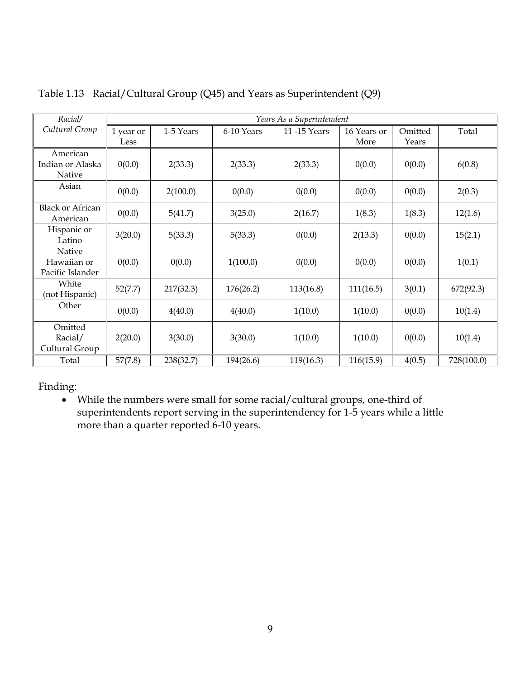| Racial/                                   |                   |           |            | Years As a Superintendent |                     |                  |            |
|-------------------------------------------|-------------------|-----------|------------|---------------------------|---------------------|------------------|------------|
| Cultural Group                            | 1 year or<br>Less | 1-5 Years | 6-10 Years | 11-15 Years               | 16 Years or<br>More | Omitted<br>Years | Total      |
| American<br>Indian or Alaska<br>Native    | 0(0.0)            | 2(33.3)   | 2(33.3)    | 2(33.3)                   | 0(0.0)              | 0(0.0)           | 6(0.8)     |
| Asian                                     | 0(0.0)            | 2(100.0)  | 0(0.0)     | 0(0.0)                    | 0(0.0)              | 0(0.0)           | 2(0.3)     |
| <b>Black or African</b><br>American       | 0(0.0)            | 5(41.7)   | 3(25.0)    | 2(16.7)                   | 1(8.3)              | 1(8.3)           | 12(1.6)    |
| Hispanic or<br>Latino                     | 3(20.0)           | 5(33.3)   | 5(33.3)    | 0(0.0)                    | 2(13.3)             | 0(0.0)           | 15(2.1)    |
| Native<br>Hawaiian or<br>Pacific Islander | 0(0.0)            | 0(0.0)    | 1(100.0)   | 0(0.0)                    | 0(0.0)              | 0(0.0)           | 1(0.1)     |
| White<br>(not Hispanic)                   | 52(7.7)           | 217(32.3) | 176(26.2)  | 113(16.8)                 | 111(16.5)           | 3(0.1)           | 672(92.3)  |
| Other                                     | 0(0.0)            | 4(40.0)   | 4(40.0)    | 1(10.0)                   | 1(10.0)             | 0(0.0)           | 10(1.4)    |
| Omitted<br>Racial/<br>Cultural Group      | 2(20.0)           | 3(30.0)   | 3(30.0)    | 1(10.0)                   | 1(10.0)             | 0(0.0)           | 10(1.4)    |
| Total                                     | 57(7.8)           | 238(32.7) | 194(26.6)  | 119(16.3)                 | 116(15.9)           | 4(0.5)           | 728(100.0) |

Table 1.13 Racial/Cultural Group (Q45) and Years as Superintendent (Q9)

 While the numbers were small for some racial/cultural groups, one-third of superintendents report serving in the superintendency for 1-5 years while a little more than a quarter reported 6-10 years.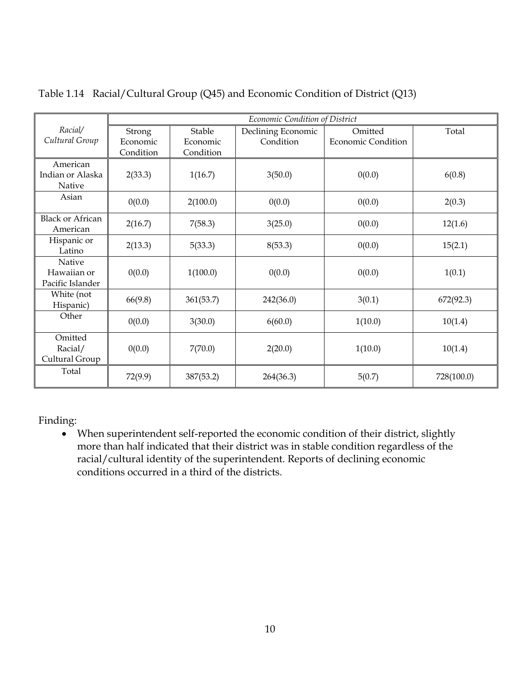|                                           | Economic Condition of District |                    |                                 |                                      |            |  |
|-------------------------------------------|--------------------------------|--------------------|---------------------------------|--------------------------------------|------------|--|
| Racial/<br>Cultural Group                 | Strong<br>Economic             | Stable<br>Economic | Declining Economic<br>Condition | Omitted<br><b>Economic Condition</b> | Total      |  |
|                                           | Condition                      | Condition          |                                 |                                      |            |  |
| American<br>Indian or Alaska<br>Native    | 2(33.3)                        | 1(16.7)            | 3(50.0)                         | 0(0.0)                               | 6(0.8)     |  |
| Asian                                     | 0(0.0)                         | 2(100.0)           | 0(0.0)                          | 0(0.0)                               | 2(0.3)     |  |
| <b>Black or African</b><br>American       | 2(16.7)                        | 7(58.3)            | 3(25.0)                         | 0(0.0)                               | 12(1.6)    |  |
| Hispanic or<br>Latino                     | 2(13.3)                        | 5(33.3)            | 8(53.3)                         | 0(0.0)                               | 15(2.1)    |  |
| Native<br>Hawaiian or<br>Pacific Islander | 0(0.0)                         | 1(100.0)           | 0(0.0)                          | 0(0.0)                               | 1(0.1)     |  |
| White (not<br>Hispanic)                   | 66(9.8)                        | 361(53.7)          | 242(36.0)                       | 3(0.1)                               | 672(92.3)  |  |
| Other                                     | 0(0.0)                         | 3(30.0)            | 6(60.0)                         | 1(10.0)                              | 10(1.4)    |  |
| Omitted<br>Racial/<br>Cultural Group      | 0(0.0)                         | 7(70.0)            | 2(20.0)                         | 1(10.0)                              | 10(1.4)    |  |
| Total                                     | 72(9.9)                        | 387(53.2)          | 264(36.3)                       | 5(0.7)                               | 728(100.0) |  |

Table 1.14 Racial/Cultural Group (Q45) and Economic Condition of District (Q13)

 When superintendent self-reported the economic condition of their district, slightly more than half indicated that their district was in stable condition regardless of the racial/cultural identity of the superintendent. Reports of declining economic conditions occurred in a third of the districts.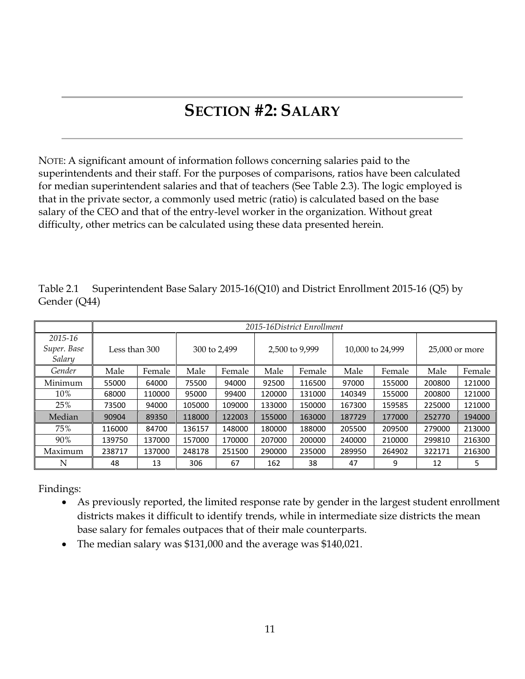# **SECTION #2: SALARY**

NOTE: A significant amount of information follows concerning salaries paid to the superintendents and their staff. For the purposes of comparisons, ratios have been calculated for median superintendent salaries and that of teachers (See Table 2.3). The logic employed is that in the private sector, a commonly used metric (ratio) is calculated based on the base salary of the CEO and that of the entry-level worker in the organization. Without great difficulty, other metrics can be calculated using these data presented herein.

|                                  |               | 2015-16District Enrollment |              |        |                |        |                  |        |                |        |
|----------------------------------|---------------|----------------------------|--------------|--------|----------------|--------|------------------|--------|----------------|--------|
| 2015-16<br>Super. Base<br>Salary | Less than 300 |                            | 300 to 2,499 |        | 2,500 to 9,999 |        | 10,000 to 24,999 |        | 25,000 or more |        |
| Gender                           | Male          | Female                     | Male         | Female | Male           | Female | Male             | Female | Male           | Female |
| Minimum                          | 55000         | 64000                      | 75500        | 94000  | 92500          | 116500 | 97000            | 155000 | 200800         | 121000 |
| 10%                              | 68000         | 110000                     | 95000        | 99400  | 120000         | 131000 | 140349           | 155000 | 200800         | 121000 |
| 25%                              | 73500         | 94000                      | 105000       | 109000 | 133000         | 150000 | 167300           | 159585 | 225000         | 121000 |
| Median                           | 90904         | 89350                      | 118000       | 122003 | 155000         | 163000 | 187729           | 177000 | 252770         | 194000 |
| 75%                              | 116000        | 84700                      | 136157       | 148000 | 180000         | 188000 | 205500           | 209500 | 279000         | 213000 |
| 90%                              | 139750        | 137000                     | 157000       | 170000 | 207000         | 200000 | 240000           | 210000 | 299810         | 216300 |
| Maximum                          | 238717        | 137000                     | 248178       | 251500 | 290000         | 235000 | 289950           | 264902 | 322171         | 216300 |
| N                                | 48            | 13                         | 306          | 67     | 162            | 38     | 47               | 9      | 12             | 5      |

Table 2.1 Superintendent Base Salary 2015-16(Q10) and District Enrollment 2015-16 (Q5) by Gender (Q44)

Findings:

- As previously reported, the limited response rate by gender in the largest student enrollment districts makes it difficult to identify trends, while in intermediate size districts the mean base salary for females outpaces that of their male counterparts.
- The median salary was \$131,000 and the average was \$140,021.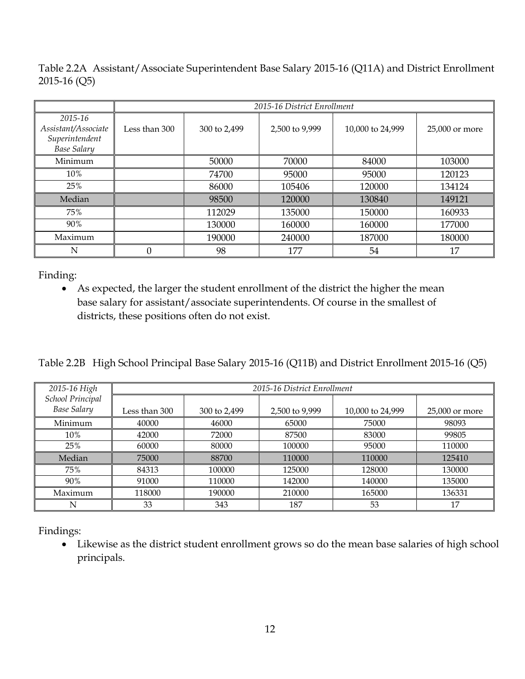Table 2.2A Assistant/Associate Superintendent Base Salary 2015-16 (Q11A) and District Enrollment 2015-16 (Q5)

|                                                                        | 2015-16 District Enrollment |              |                |                  |                |
|------------------------------------------------------------------------|-----------------------------|--------------|----------------|------------------|----------------|
| 2015-16<br>Assistant/Associate<br>Superintendent<br><b>Base Salary</b> | Less than 300               | 300 to 2,499 | 2,500 to 9,999 | 10,000 to 24,999 | 25,000 or more |
| Minimum                                                                |                             | 50000        | 70000          | 84000            | 103000         |
| 10%                                                                    |                             | 74700        | 95000          | 95000            | 120123         |
| 25%                                                                    |                             | 86000        | 105406         | 120000           | 134124         |
| Median                                                                 |                             | 98500        | 120000         | 130840           | 149121         |
| 75%                                                                    |                             | 112029       | 135000         | 150000           | 160933         |
| 90%                                                                    |                             | 130000       | 160000         | 160000           | 177000         |
| Maximum                                                                |                             | 190000       | 240000         | 187000           | 180000         |
| N                                                                      | $\theta$                    | 98           | 177            | 54               | 17             |

 As expected, the larger the student enrollment of the district the higher the mean base salary for assistant/associate superintendents. Of course in the smallest of districts, these positions often do not exist.

Table 2.2B High School Principal Base Salary 2015-16 (Q11B) and District Enrollment 2015-16 (Q5)

| 2015-16 High                           | 2015-16 District Enrollment |              |                |                  |                |
|----------------------------------------|-----------------------------|--------------|----------------|------------------|----------------|
| School Principal<br><b>Base Salary</b> | Less than 300               | 300 to 2,499 | 2,500 to 9,999 | 10,000 to 24,999 | 25,000 or more |
| Minimum                                | 40000                       | 46000        | 65000          | 75000            | 98093          |
| 10%                                    | 42000                       | 72000        | 87500          | 83000            | 99805          |
| 25%                                    | 60000                       | 80000        | 100000         | 95000            | 110000         |
| Median                                 | 75000                       | 88700        | 110000         | 110000           | 125410         |
| 75%                                    | 84313                       | 100000       | 125000         | 128000           | 130000         |
| 90%                                    | 91000                       | 110000       | 142000         | 140000           | 135000         |
| Maximum                                | 118000                      | 190000       | 210000         | 165000           | 136331         |
| N                                      | 33                          | 343          | 187            | 53               | 17             |

Findings:

 Likewise as the district student enrollment grows so do the mean base salaries of high school principals.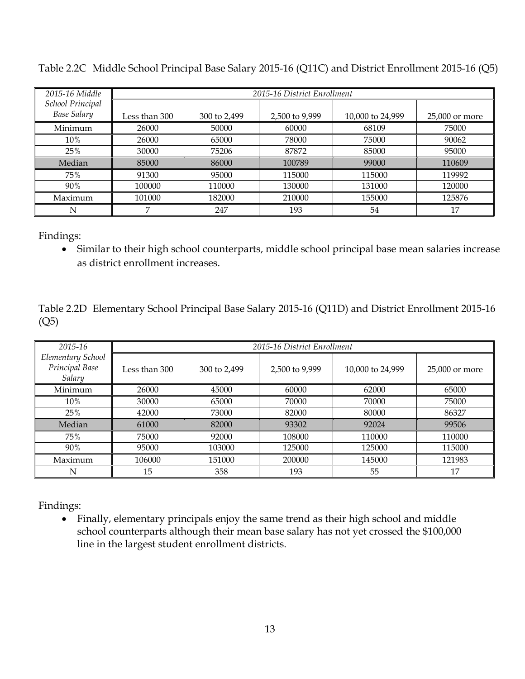| 2015-16 Middle                         | 2015-16 District Enrollment |              |                |                  |                |
|----------------------------------------|-----------------------------|--------------|----------------|------------------|----------------|
| School Principal<br><b>Base Salary</b> | Less than 300               | 300 to 2,499 | 2,500 to 9,999 | 10,000 to 24,999 | 25,000 or more |
| Minimum                                | 26000                       | 50000        | 60000          | 68109            | 75000          |
| 10%                                    | 26000                       | 65000        | 78000          | 75000            | 90062          |
| 25%                                    | 30000                       | 75206        | 87872          | 85000            | 95000          |
| Median                                 | 85000                       | 86000        | 100789         | 99000            | 110609         |
| 75%                                    | 91300                       | 95000        | 115000         | 115000           | 119992         |
| 90%                                    | 100000                      | 110000       | 130000         | 131000           | 120000         |
| Maximum                                | 101000                      | 182000       | 210000         | 155000           | 125876         |
| Ν                                      |                             | 247          | 193            | 54               | 17             |

Table 2.2C Middle School Principal Base Salary 2015-16 (Q11C) and District Enrollment 2015-16 (Q5)

 Similar to their high school counterparts, middle school principal base mean salaries increase as district enrollment increases.

Table 2.2D Elementary School Principal Base Salary 2015-16 (Q11D) and District Enrollment 2015-16 (Q5)

| 2015-16                                       |               | 2015-16 District Enrollment |                |                  |                |  |
|-----------------------------------------------|---------------|-----------------------------|----------------|------------------|----------------|--|
| Elementary School<br>Principal Base<br>Salary | Less than 300 | 300 to 2,499                | 2,500 to 9,999 | 10,000 to 24,999 | 25,000 or more |  |
| Minimum                                       | 26000         | 45000                       | 60000          | 62000            | 65000          |  |
| 10%                                           | 30000         | 65000                       | 70000          | 70000            | 75000          |  |
| 25%                                           | 42000         | 73000                       | 82000          | 80000            | 86327          |  |
| Median                                        | 61000         | 82000                       | 93302          | 92024            | 99506          |  |
| 75%                                           | 75000         | 92000                       | 108000         | 110000           | 110000         |  |
| 90%                                           | 95000         | 103000                      | 125000         | 125000           | 115000         |  |
| Maximum                                       | 106000        | 151000                      | 200000         | 145000           | 121983         |  |
| N                                             | 15            | 358                         | 193            | 55               | 17             |  |

Findings:

 Finally, elementary principals enjoy the same trend as their high school and middle school counterparts although their mean base salary has not yet crossed the \$100,000 line in the largest student enrollment districts.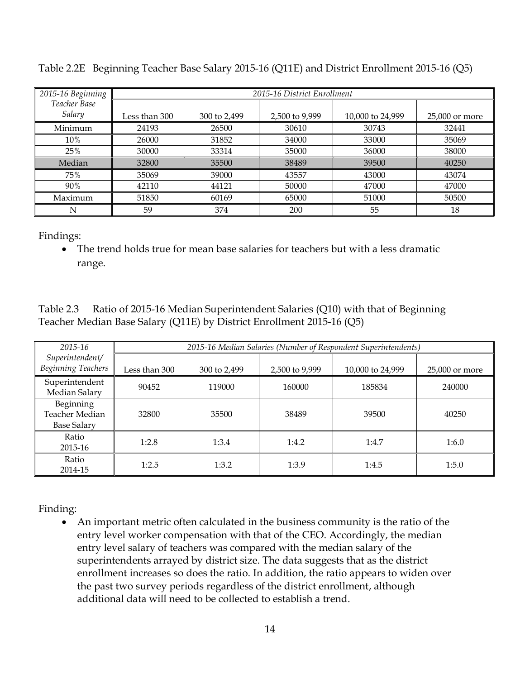| 2015-16 Beginning | 2015-16 District Enrollment |              |                |                  |                |
|-------------------|-----------------------------|--------------|----------------|------------------|----------------|
| Teacher Base      |                             |              |                |                  |                |
| Salary            | Less than 300               | 300 to 2,499 | 2,500 to 9,999 | 10,000 to 24,999 | 25,000 or more |
| Minimum           | 24193                       | 26500        | 30610          | 30743            | 32441          |
| 10%               | 26000                       | 31852        | 34000          | 33000            | 35069          |
| 25%               | 30000                       | 33314        | 35000          | 36000            | 38000          |
| Median            | 32800                       | 35500        | 38489          | 39500            | 40250          |
| 75%               | 35069                       | 39000        | 43557          | 43000            | 43074          |
| 90%               | 42110                       | 44121        | 50000          | 47000            | 47000          |
| Maximum           | 51850                       | 60169        | 65000          | 51000            | 50500          |
| N                 | 59                          | 374          | 200            | 55               | 18             |

Table 2.2E Beginning Teacher Base Salary 2015-16 (Q11E) and District Enrollment 2015-16 (Q5)

 The trend holds true for mean base salaries for teachers but with a less dramatic range.

Table 2.3 Ratio of 2015-16 Median Superintendent Salaries (Q10) with that of Beginning Teacher Median Base Salary (Q11E) by District Enrollment 2015-16 (Q5)

| 2015-16                                           | 2015-16 Median Salaries (Number of Respondent Superintendents) |              |                |                  |                |
|---------------------------------------------------|----------------------------------------------------------------|--------------|----------------|------------------|----------------|
| Superintendent/<br><b>Beginning Teachers</b>      | Less than 300                                                  | 300 to 2,499 | 2,500 to 9,999 | 10,000 to 24,999 | 25,000 or more |
| Superintendent<br>Median Salary                   | 90452                                                          | 119000       | 160000         | 185834           | 240000         |
| Beginning<br>Teacher Median<br><b>Base Salary</b> | 32800                                                          | 35500        | 38489          | 39500            | 40250          |
| Ratio<br>2015-16                                  | 1:2.8                                                          | 1:3.4        | 1:4.2          | 1:4.7            | 1:6.0          |
| Ratio<br>2014-15                                  | 1:2.5                                                          | 1:3.2        | 1:3.9          | 1:4.5            | 1:5.0          |

Finding:

 An important metric often calculated in the business community is the ratio of the entry level worker compensation with that of the CEO. Accordingly, the median entry level salary of teachers was compared with the median salary of the superintendents arrayed by district size. The data suggests that as the district enrollment increases so does the ratio. In addition, the ratio appears to widen over the past two survey periods regardless of the district enrollment, although additional data will need to be collected to establish a trend.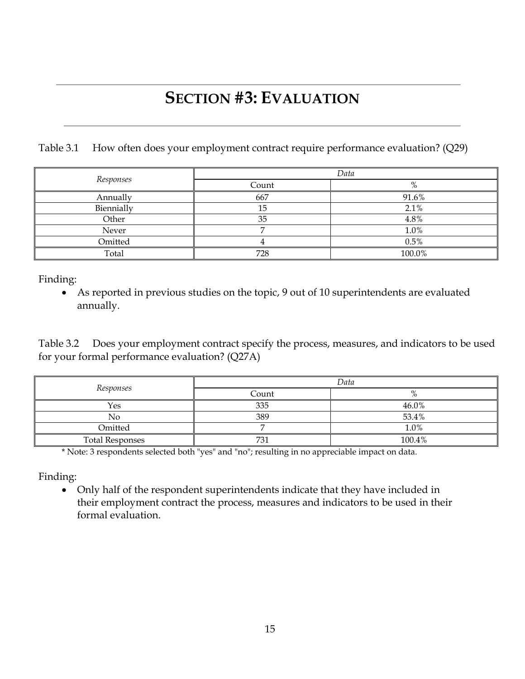# **SECTION #3: EVALUATION**

Table 3.1 How often does your employment contract require performance evaluation? (Q29)

|            | Data  |        |  |  |
|------------|-------|--------|--|--|
| Responses  | Count |        |  |  |
| Annually   | 667   | 91.6%  |  |  |
| Biennially |       | 2.1%   |  |  |
| Other      | 35    | 4.8%   |  |  |
| Never      |       | 1.0%   |  |  |
| Omitted    |       | 0.5%   |  |  |
| Total      | 728   | 100.0% |  |  |

Finding:

 As reported in previous studies on the topic, 9 out of 10 superintendents are evaluated annually.

Table 3.2 Does your employment contract specify the process, measures, and indicators to be used for your formal performance evaluation? (Q27A)

|                        | Data  |        |  |  |
|------------------------|-------|--------|--|--|
| Responses              | Count |        |  |  |
| Yes                    | 335   | 46.0%  |  |  |
| No                     | 389   | 53.4%  |  |  |
| Omitted                |       | 1.0%   |  |  |
| <b>Total Responses</b> | 731   | 100.4% |  |  |

\* Note: 3 respondents selected both "yes" and "no"; resulting in no appreciable impact on data.

Finding:

 Only half of the respondent superintendents indicate that they have included in their employment contract the process, measures and indicators to be used in their formal evaluation.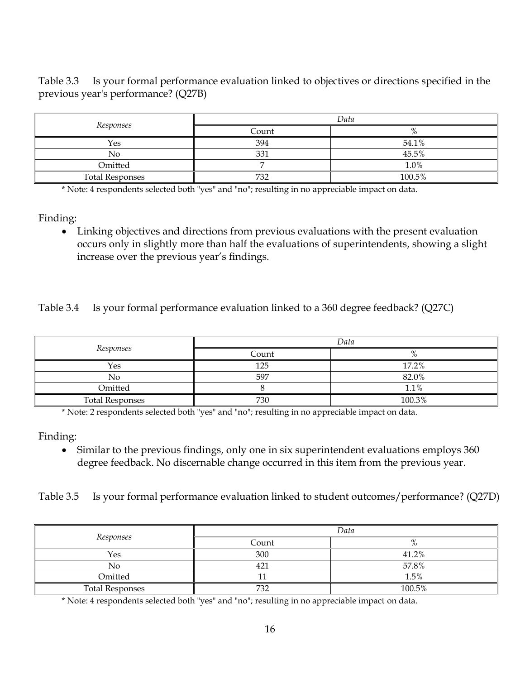Table 3.3 Is your formal performance evaluation linked to objectives or directions specified in the previous year's performance? (Q27B)

|                        | Data  |          |  |  |
|------------------------|-------|----------|--|--|
| Responses              | Count | $\Omega$ |  |  |
| Yes                    | 394   | 54.1%    |  |  |
| No                     | 331   | 45.5%    |  |  |
| Omitted                |       | 1.0%     |  |  |
| <b>Total Responses</b> | 732   | 100.5%   |  |  |

\* Note: 4 respondents selected both "yes" and "no"; resulting in no appreciable impact on data.

Finding:

 Linking objectives and directions from previous evaluations with the present evaluation occurs only in slightly more than half the evaluations of superintendents, showing a slight increase over the previous year's findings.

Table 3.4 Is your formal performance evaluation linked to a 360 degree feedback? (Q27C)

| Responses              | Data  |        |
|------------------------|-------|--------|
|                        | Count |        |
| Yes                    | 125   | 17.2%  |
| No                     | 597   | 82.0%  |
| Omitted                |       | 1.1%   |
| <b>Total Responses</b> | 730   | 100.3% |

\* Note: 2 respondents selected both "yes" and "no"; resulting in no appreciable impact on data.

Finding:

• Similar to the previous findings, only one in six superintendent evaluations employs 360 degree feedback. No discernable change occurred in this item from the previous year.

Table 3.5 Is your formal performance evaluation linked to student outcomes/performance? (Q27D)

|                        | Data  |                |
|------------------------|-------|----------------|
| Responses              | Count | $\Omega$<br>70 |
| Yes                    | 300   | 41.2%          |
| No                     | 421   | 57.8%          |
| Omitted                |       | 1.5%           |
| <b>Total Responses</b> | 732   | 100.5%         |

\* Note: 4 respondents selected both "yes" and "no"; resulting in no appreciable impact on data.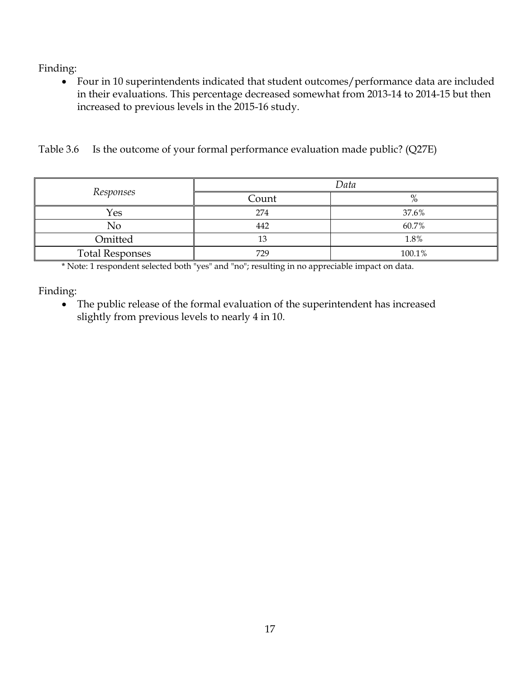Four in 10 superintendents indicated that student outcomes/performance data are included in their evaluations. This percentage decreased somewhat from 2013-14 to 2014-15 but then increased to previous levels in the 2015-16 study.

Table 3.6 Is the outcome of your formal performance evaluation made public? (Q27E)

|                        | Data  |               |
|------------------------|-------|---------------|
| Responses              | Count | $\mathbf{O}/$ |
| Yes                    | 274   | 37.6%         |
| No                     | 442   | 60.7%         |
| Omitted                | 13    | 1.8%          |
| <b>Total Responses</b> | 729   | 100.1%        |

\* Note: 1 respondent selected both "yes" and "no"; resulting in no appreciable impact on data.

Finding:

 The public release of the formal evaluation of the superintendent has increased slightly from previous levels to nearly 4 in 10.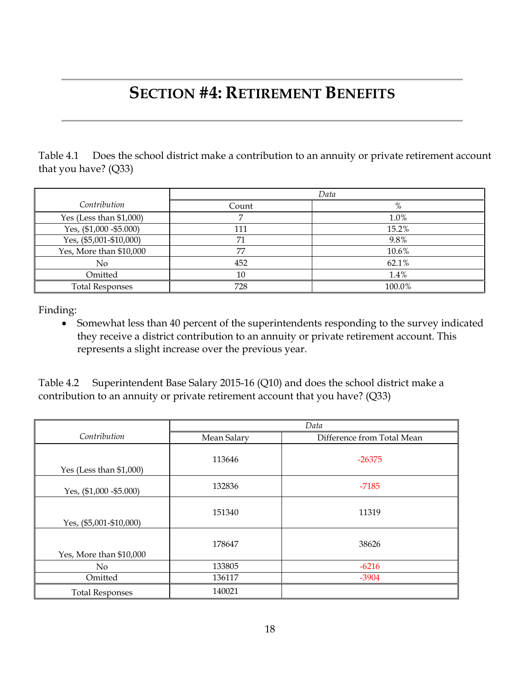# **SECTION #4: RETIREMENT BENEFITS**

Table 4.1 Does the school district make a contribution to an annuity or private retirement account that you have? (Q33)

|                           | Data  |        |
|---------------------------|-------|--------|
| Contribution              | Count | %      |
| Yes (Less than $$1,000$ ) |       | 1.0%   |
| Yes, (\$1,000 - \$5.000)  | 111   | 15.2%  |
| Yes, (\$5,001-\$10,000)   | 71    | 9.8%   |
| Yes, More than \$10,000   | 77    | 10.6%  |
| N <sub>0</sub>            | 452   | 62.1%  |
| Omitted                   | 10    | 1.4%   |
| <b>Total Responses</b>    | 728   | 100.0% |

Finding:

• Somewhat less than 40 percent of the superintendents responding to the survey indicated they receive a district contribution to an annuity or private retirement account. This represents a slight increase over the previous year.

Table 4.2 Superintendent Base Salary 2015-16 (Q10) and does the school district make a contribution to an annuity or private retirement account that you have? (Q33)

|                           | Data        |                            |
|---------------------------|-------------|----------------------------|
| Contribution              | Mean Salary | Difference from Total Mean |
| Yes (Less than $$1,000$ ) | 113646      | $-26375$                   |
| Yes, (\$1,000 - \$5.000)  | 132836      | $-7185$                    |
| Yes, (\$5,001-\$10,000)   | 151340      | 11319                      |
| Yes, More than \$10,000   | 178647      | 38626                      |
| No                        | 133805      | $-6216$                    |
| Omitted                   | 136117      | $-3904$                    |
| <b>Total Responses</b>    | 140021      |                            |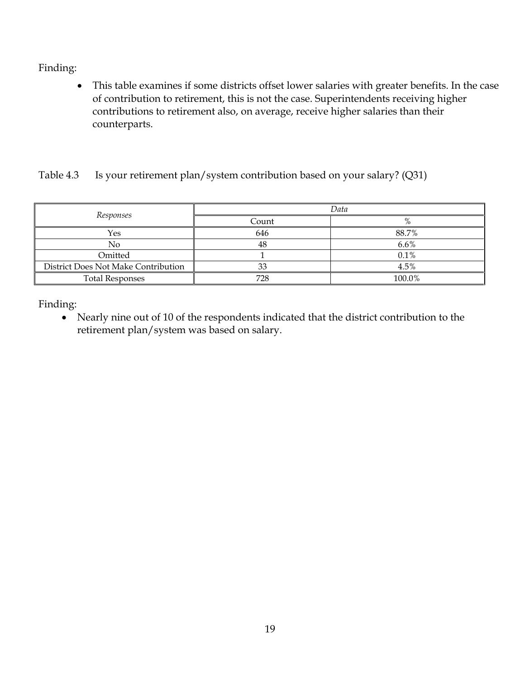This table examines if some districts offset lower salaries with greater benefits. In the case of contribution to retirement, this is not the case. Superintendents receiving higher contributions to retirement also, on average, receive higher salaries than their counterparts.

#### Table 4.3 Is your retirement plan/system contribution based on your salary? (Q31)

|                                     | Data  |        |
|-------------------------------------|-------|--------|
| Responses                           | Count | %      |
| Yes                                 | 646   | 88.7%  |
| No                                  | 48    | 6.6%   |
| Omitted                             |       | 0.1%   |
| District Does Not Make Contribution | 33    | 4.5%   |
| <b>Total Responses</b>              | 728   | 100.0% |

Finding:

 Nearly nine out of 10 of the respondents indicated that the district contribution to the retirement plan/system was based on salary.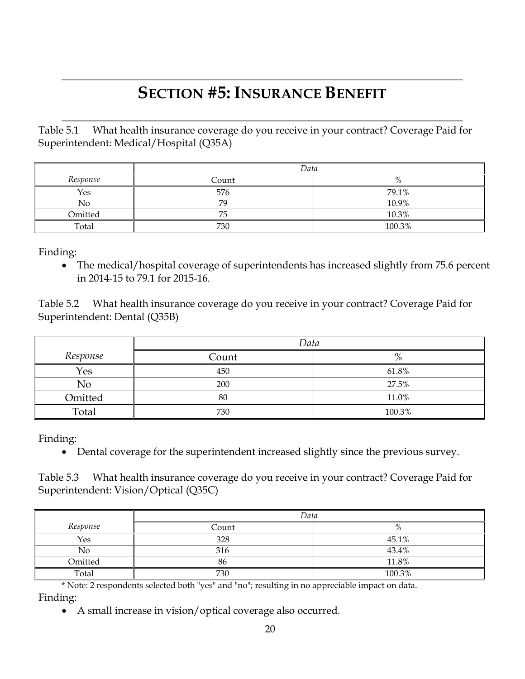# **SECTION #5: INSURANCE BENEFIT**

Table 5.1 What health insurance coverage do you receive in your contract? Coverage Paid for Superintendent: Medical/Hospital (Q35A)

|          | Data  |        |
|----------|-------|--------|
| Response | Count | %      |
| Yes      | 576   | 79.1%  |
| No       | 70    | 10.9%  |
| Omitted  | 75    | 10.3%  |
| Total    | 730   | 100.3% |

Finding:

 The medical/hospital coverage of superintendents has increased slightly from 75.6 percent in 2014-15 to 79.1 for 2015-16.

Table 5.2 What health insurance coverage do you receive in your contract? Coverage Paid for Superintendent: Dental (Q35B)

|          | Data  |        |
|----------|-------|--------|
| Response | Count | 0,     |
| Yes      | 450   | 61.8%  |
| No       | 200   | 27.5%  |
| Omitted  | 80    | 11.0%  |
| Total    | 730   | 100.3% |

Finding:

Dental coverage for the superintendent increased slightly since the previous survey.

Table 5.3 What health insurance coverage do you receive in your contract? Coverage Paid for Superintendent: Vision/Optical (Q35C)

|          | Data  |            |
|----------|-------|------------|
| Response | Count | $\sqrt{0}$ |
| Yes      | 328   | 45.1%      |
| No       | 316   | 43.4%      |
| Omitted  | 86    | 11.8%      |
| Total    | 730   | 100.3%     |

\* Note: 2 respondents selected both "yes" and "no"; resulting in no appreciable impact on data. Finding:

A small increase in vision/optical coverage also occurred.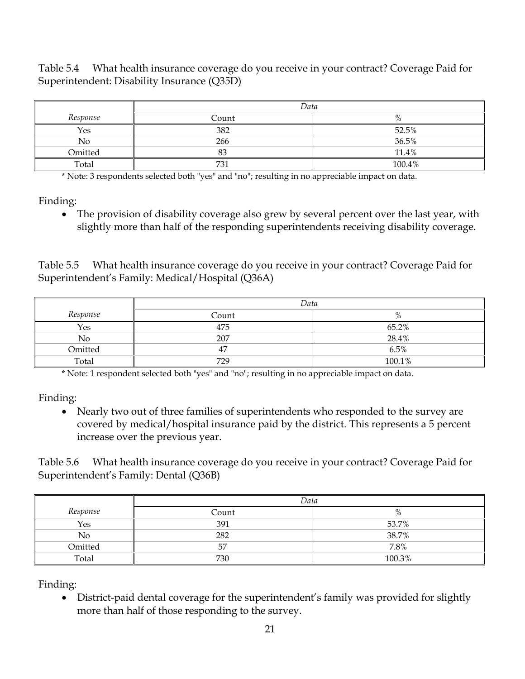Table 5.4 What health insurance coverage do you receive in your contract? Coverage Paid for Superintendent: Disability Insurance (Q35D)

|          | Data  |                     |
|----------|-------|---------------------|
| Response | Count | $\mathbf{O}/$<br>70 |
| Yes      | 382   | 52.5%               |
| No       | 266   | 36.5%               |
| Omitted  | O. I  | 11.4%               |
| Total    | 731   | 100.4%              |

\* Note: 3 respondents selected both "yes" and "no"; resulting in no appreciable impact on data.

Finding:

 The provision of disability coverage also grew by several percent over the last year, with slightly more than half of the responding superintendents receiving disability coverage.

Table 5.5 What health insurance coverage do you receive in your contract? Coverage Paid for Superintendent's Family: Medical/Hospital (Q36A)

|          | Data  |        |
|----------|-------|--------|
| Response | Count | %      |
| Yes      | 475   | 65.2%  |
| No       | 207   | 28.4%  |
| Omitted  | 47    | 6.5%   |
| Total    | 729   | 100.1% |

\* Note: 1 respondent selected both "yes" and "no"; resulting in no appreciable impact on data.

Finding:

• Nearly two out of three families of superintendents who responded to the survey are covered by medical/hospital insurance paid by the district. This represents a 5 percent increase over the previous year.

Table 5.6 What health insurance coverage do you receive in your contract? Coverage Paid for Superintendent's Family: Dental (Q36B)

|          | Data  |                |
|----------|-------|----------------|
| Response | Count | $\Omega$<br>70 |
| Yes      | 391   | 53.7%          |
| No       | 282   | 38.7%          |
| Omitted  | 57    | 7.8%           |
| Total    | 730   | 100.3%         |

Finding:

 District-paid dental coverage for the superintendent's family was provided for slightly more than half of those responding to the survey.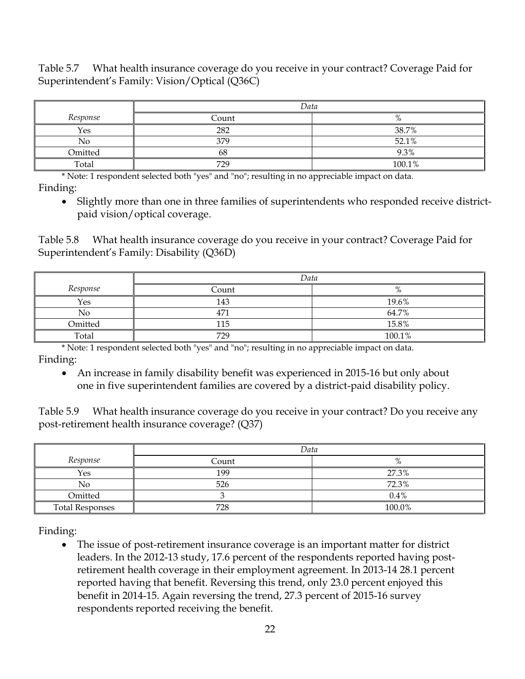Table 5.7 What health insurance coverage do you receive in your contract? Coverage Paid for Superintendent's Family: Vision/Optical (Q36C)

|          | Data  |                       |  |  |
|----------|-------|-----------------------|--|--|
| Response | Count | $_{0/}$<br>$\sqrt{0}$ |  |  |
| Yes      | 282   | 38.7%                 |  |  |
| No       | 379   | 52.1%                 |  |  |
| Omitted  | 68    | 9.3%                  |  |  |
| Total    | 729   | 100.1%                |  |  |

\* Note: 1 respondent selected both "yes" and "no"; resulting in no appreciable impact on data. Finding:

 Slightly more than one in three families of superintendents who responded receive districtpaid vision/optical coverage.

Table 5.8 What health insurance coverage do you receive in your contract? Coverage Paid for Superintendent's Family: Disability (Q36D)

|          | Data         |        |  |  |
|----------|--------------|--------|--|--|
| Response | Count        | %      |  |  |
| Yes      | 143          | 19.6%  |  |  |
| No       | $47^{\circ}$ | 64.7%  |  |  |
| Omitted  | 115          | 15.8%  |  |  |
| Total    | 729          | 100.1% |  |  |

\* Note: 1 respondent selected both "yes" and "no"; resulting in no appreciable impact on data. Finding:

 An increase in family disability benefit was experienced in 2015-16 but only about one in five superintendent families are covered by a district-paid disability policy.

Table 5.9 What health insurance coverage do you receive in your contract? Do you receive any post-retirement health insurance coverage? (Q37)

|                        | Data  |         |  |  |
|------------------------|-------|---------|--|--|
| Response               | Count | $\%$    |  |  |
| Yes                    | 199   | 27.3%   |  |  |
| No                     | 526   | 72.3%   |  |  |
| Omitted                |       | $0.4\%$ |  |  |
| <b>Total Responses</b> | 728   | 100.0%  |  |  |

Finding:

 The issue of post-retirement insurance coverage is an important matter for district leaders. In the 2012-13 study, 17.6 percent of the respondents reported having postretirement health coverage in their employment agreement. In 2013-14 28.1 percent reported having that benefit. Reversing this trend, only 23.0 percent enjoyed this benefit in 2014-15. Again reversing the trend, 27.3 percent of 2015-16 survey respondents reported receiving the benefit.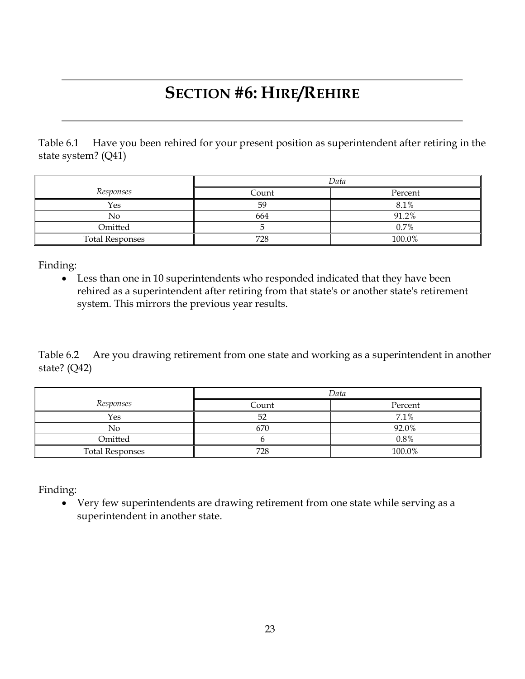# **SECTION #6: HIRE/REHIRE**

Table 6.1 Have you been rehired for your present position as superintendent after retiring in the state system? (Q41)

|                        | Data  |         |  |  |  |
|------------------------|-------|---------|--|--|--|
| Responses              | Count | Percent |  |  |  |
| Yes                    | 59    | 8.1%    |  |  |  |
| No                     | 664   | 91.2%   |  |  |  |
| Omitted                |       | $0.7\%$ |  |  |  |
| <b>Total Responses</b> | 728   | 100.0%  |  |  |  |

Finding:

 Less than one in 10 superintendents who responded indicated that they have been rehired as a superintendent after retiring from that state's or another state's retirement system. This mirrors the previous year results.

Table 6.2 Are you drawing retirement from one state and working as a superintendent in another state? (Q42)

|                        | Data  |         |  |  |
|------------------------|-------|---------|--|--|
| Responses              | Count | Percent |  |  |
| Yes                    | 52    | 7.1%    |  |  |
| No                     | 670   | 92.0%   |  |  |
| Omitted                |       | $0.8\%$ |  |  |
| <b>Total Responses</b> | 728   | 100.0%  |  |  |

Finding:

 Very few superintendents are drawing retirement from one state while serving as a superintendent in another state.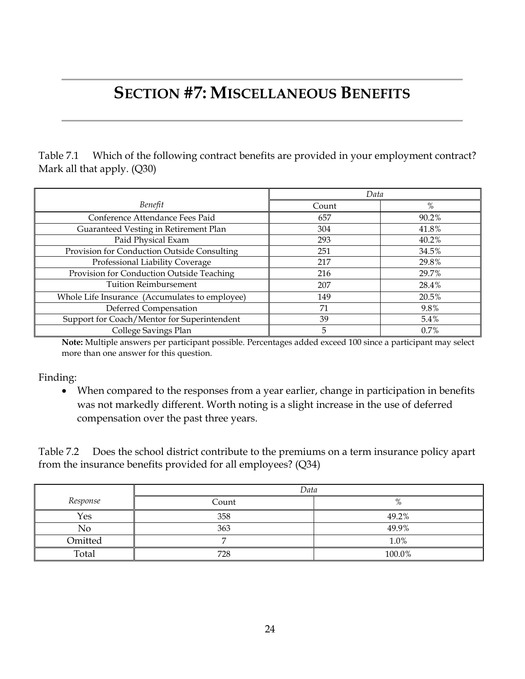# **SECTION #7: MISCELLANEOUS BENEFITS**

Table 7.1 Which of the following contract benefits are provided in your employment contract? Mark all that apply. (Q30)

|                                                | Data  |       |
|------------------------------------------------|-------|-------|
| Benefit                                        | Count | %     |
| Conference Attendance Fees Paid                | 657   | 90.2% |
| Guaranteed Vesting in Retirement Plan          | 304   | 41.8% |
| Paid Physical Exam                             | 293   | 40.2% |
| Provision for Conduction Outside Consulting    | 251   | 34.5% |
| Professional Liability Coverage                | 217   | 29.8% |
| Provision for Conduction Outside Teaching      | 216   | 29.7% |
| <b>Tuition Reimbursement</b>                   | 207   | 28.4% |
| Whole Life Insurance (Accumulates to employee) | 149   | 20.5% |
| Deferred Compensation                          | 71    | 9.8%  |
| Support for Coach/Mentor for Superintendent    | 39    | 5.4%  |
| College Savings Plan                           | 5     | 0.7%  |

**Note:** Multiple answers per participant possible. Percentages added exceed 100 since a participant may select more than one answer for this question.

Finding:

 When compared to the responses from a year earlier, change in participation in benefits was not markedly different. Worth noting is a slight increase in the use of deferred compensation over the past three years.

Table 7.2 Does the school district contribute to the premiums on a term insurance policy apart from the insurance benefits provided for all employees? (Q34)

|          | Data  |        |  |  |
|----------|-------|--------|--|--|
| Response | Count | $\%$   |  |  |
| Yes      | 358   | 49.2%  |  |  |
| No       | 363   | 49.9%  |  |  |
| Omitted  |       | 1.0%   |  |  |
| Total    | 728   | 100.0% |  |  |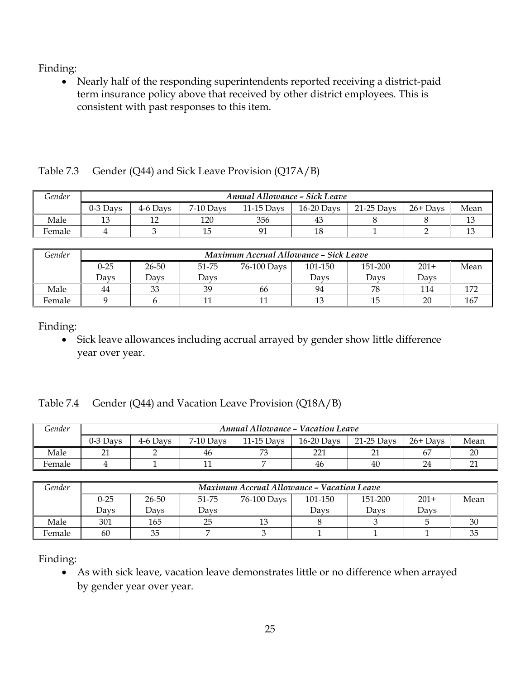Nearly half of the responding superintendents reported receiving a district-paid term insurance policy above that received by other district employees. This is consistent with past responses to this item.

| Gender | <b>Annual Allowance - Sick Leave</b> |          |             |              |              |              |            |      |
|--------|--------------------------------------|----------|-------------|--------------|--------------|--------------|------------|------|
|        | $0-3$ Days                           | 4-6 Davs | $7-10$ Davs | $11-15$ Davs | $16-20$ Days | $21-25$ Davs | $26+$ Days | Mean |
| Male   |                                      |          | 120         | 356          | 43           |              |            |      |
| Female |                                      |          | 15          | 01           | 18           |              |            |      |

| Gender |          | Maximum Accrual Allowance - Sick Leave |       |             |         |         |        |      |  |
|--------|----------|----------------------------------------|-------|-------------|---------|---------|--------|------|--|
|        | $0 - 25$ | 26-50                                  | 51-75 | 76-100 Days | 101-150 | 151-200 | $201+$ | Mean |  |
|        | Davs     | Davs                                   | Davs  |             | Davs    | Davs    | Davs   |      |  |
| Male   | 44       | 33                                     | 39    | 66          | 94      | 78      | 114    |      |  |
| Female |          |                                        |       |             | 13      |         | 20     | 167  |  |

Finding:

 Sick leave allowances including accrual arrayed by gender show little difference year over year.

|  | Table 7.4 Gender (Q44) and Vacation Leave Provision (Q18A/B) |  |  |  |  |
|--|--------------------------------------------------------------|--|--|--|--|
|--|--------------------------------------------------------------|--|--|--|--|

Table 7.3 Gender (Q44) and Sick Leave Provision (Q17A/B)

| Gender | <b>Annual Allowance - Vacation Leave</b> |          |             |              |              |            |            |        |  |
|--------|------------------------------------------|----------|-------------|--------------|--------------|------------|------------|--------|--|
|        | $0-3$ Days                               | 4-6 Davs | $7-10$ Days | $11-15$ Davs | $16-20$ Days | 21-25 Davs | $26+$ Days | Mean   |  |
| Male   |                                          |          | 46          | $\neg$       | 221          |            |            | $\cap$ |  |
| Female |                                          |          |             |              | 46           | 40         | 24         |        |  |

| Gender | <b>Maximum Accrual Allowance - Vacation Leave</b> |       |       |             |         |         |        |      |  |
|--------|---------------------------------------------------|-------|-------|-------------|---------|---------|--------|------|--|
|        | $0 - 25$                                          | 26-50 | 51-75 | 76-100 Days | 101-150 | 151-200 | $201+$ | Mean |  |
|        | Davs                                              | Davs  | Davs  |             | Davs    | Davs    | Davs   |      |  |
| Male   | 301                                               | 165   | 25    | 10          |         |         |        | 30   |  |
| Female | 60                                                | 35    |       |             |         |         |        |      |  |

Finding:

 As with sick leave, vacation leave demonstrates little or no difference when arrayed by gender year over year.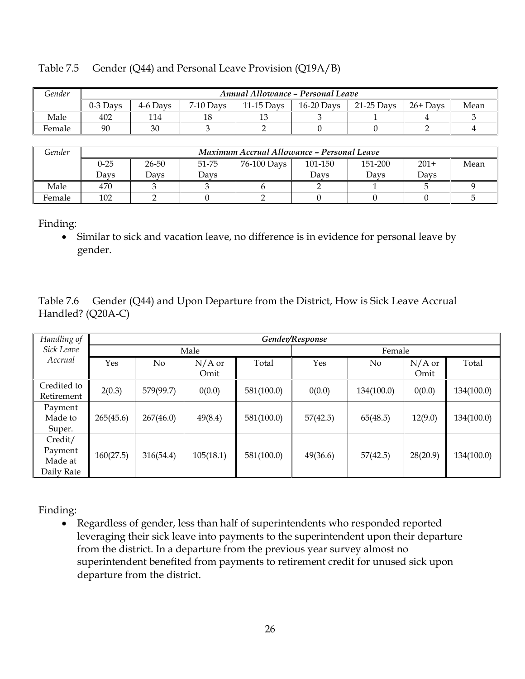| Gender |            | Annual Allowance - Personal Leave |             |              |            |            |            |      |
|--------|------------|-----------------------------------|-------------|--------------|------------|------------|------------|------|
|        | $0-3$ Davs | 4-6 Davs                          | $7-10$ Days | $11-15$ Davs | 16-20 Days | 21-25 Davs | $26+$ Days | Mean |
| Male   | 402        | 114                               | 18          | $\sim$       |            |            |            |      |
| Female | 90         | 30                                |             |              |            |            |            |      |

#### Table 7.5 Gender (Q44) and Personal Leave Provision (Q19A/B)

*Gender Maximum Accrual Allowance – Personal Leave* 0-25 Days 26-50 Days 51-75 Days 76-100 Days 101-150 Days 151-200 Days 201+ Days Mean Male | 470 | 3 | 3 | 6 | 2 | 1 | 5 | 9 Female 102 2 0 2 0 0 0 5

Finding:

 Similar to sick and vacation leave, no difference is in evidence for personal leave by gender.

Table 7.6 Gender (Q44) and Upon Departure from the District, How is Sick Leave Accrual Handled? (Q20A-C)

| Handling of | Gender/Response |           |           |            |          |            |          |            |  |  |
|-------------|-----------------|-----------|-----------|------------|----------|------------|----------|------------|--|--|
| Sick Leave  |                 | Male      |           |            |          | Female     |          |            |  |  |
| Accrual     | Yes             | No        | $N/A$ or  | Total      | Yes      | No         | $N/A$ or | Total      |  |  |
|             |                 |           | Omit      |            |          |            | Omit     |            |  |  |
| Credited to | 2(0.3)          | 579(99.7) | 0(0.0)    | 581(100.0) | 0(0.0)   | 134(100.0) | 0(0.0)   | 134(100.0) |  |  |
| Retirement  |                 |           |           |            |          |            |          |            |  |  |
| Payment     |                 |           |           |            |          |            |          |            |  |  |
| Made to     | 265(45.6)       | 267(46.0) | 49(8.4)   | 581(100.0) | 57(42.5) | 65(48.5)   | 12(9.0)  | 134(100.0) |  |  |
| Super.      |                 |           |           |            |          |            |          |            |  |  |
| Credit/     |                 |           |           |            |          |            |          |            |  |  |
| Payment     | 160(27.5)       | 316(54.4) | 105(18.1) | 581(100.0) | 49(36.6) | 57(42.5)   | 28(20.9) | 134(100.0) |  |  |
| Made at     |                 |           |           |            |          |            |          |            |  |  |
| Daily Rate  |                 |           |           |            |          |            |          |            |  |  |

Finding:

 Regardless of gender, less than half of superintendents who responded reported leveraging their sick leave into payments to the superintendent upon their departure from the district. In a departure from the previous year survey almost no superintendent benefited from payments to retirement credit for unused sick upon departure from the district.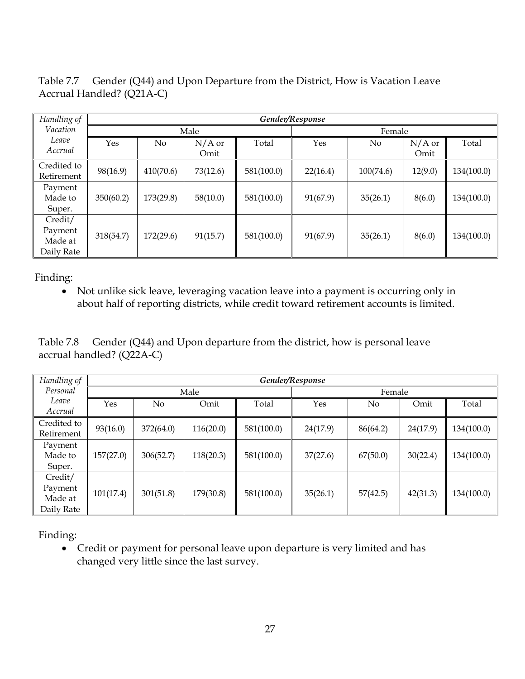Table 7.7 Gender (Q44) and Upon Departure from the District, How is Vacation Leave Accrual Handled? (Q21A-C)

| Handling of                                 |           | Gender/Response |                  |            |          |           |                  |            |
|---------------------------------------------|-----------|-----------------|------------------|------------|----------|-----------|------------------|------------|
| Vacation                                    |           |                 | Male             |            |          | Female    |                  |            |
| Leave<br>Accrual                            | Yes       | No              | $N/A$ or<br>Omit | Total      | Yes      | No        | $N/A$ or<br>Omit | Total      |
| Credited to<br>Retirement                   | 98(16.9)  | 410(70.6)       | 73(12.6)         | 581(100.0) | 22(16.4) | 100(74.6) | 12(9.0)          | 134(100.0) |
| Payment<br>Made to<br>Super.                | 350(60.2) | 173(29.8)       | 58(10.0)         | 581(100.0) | 91(67.9) | 35(26.1)  | 8(6.0)           | 134(100.0) |
| Credit/<br>Payment<br>Made at<br>Daily Rate | 318(54.7) | 172(29.6)       | 91(15.7)         | 581(100.0) | 91(67.9) | 35(26.1)  | 8(6.0)           | 134(100.0) |

 Not unlike sick leave, leveraging vacation leave into a payment is occurring only in about half of reporting districts, while credit toward retirement accounts is limited.

Table 7.8 Gender (Q44) and Upon departure from the district, how is personal leave accrual handled? (Q22A-C)

| Handling of                                 |           | Gender/Response |           |            |          |                |          |            |
|---------------------------------------------|-----------|-----------------|-----------|------------|----------|----------------|----------|------------|
| Personal                                    |           |                 | Male      |            |          | Female         |          |            |
| Leave<br>Accrual                            | Yes       | No.             | Omit      | Total      | Yes      | N <sub>0</sub> | Omit     | Total      |
| Credited to<br>Retirement                   | 93(16.0)  | 372(64.0)       | 116(20.0) | 581(100.0) | 24(17.9) | 86(64.2)       | 24(17.9) | 134(100.0) |
| Payment<br>Made to<br>Super.                | 157(27.0) | 306(52.7)       | 118(20.3) | 581(100.0) | 37(27.6) | 67(50.0)       | 30(22.4) | 134(100.0) |
| Credit/<br>Payment<br>Made at<br>Daily Rate | 101(17.4) | 301(51.8)       | 179(30.8) | 581(100.0) | 35(26.1) | 57(42.5)       | 42(31.3) | 134(100.0) |

Finding:

 Credit or payment for personal leave upon departure is very limited and has changed very little since the last survey.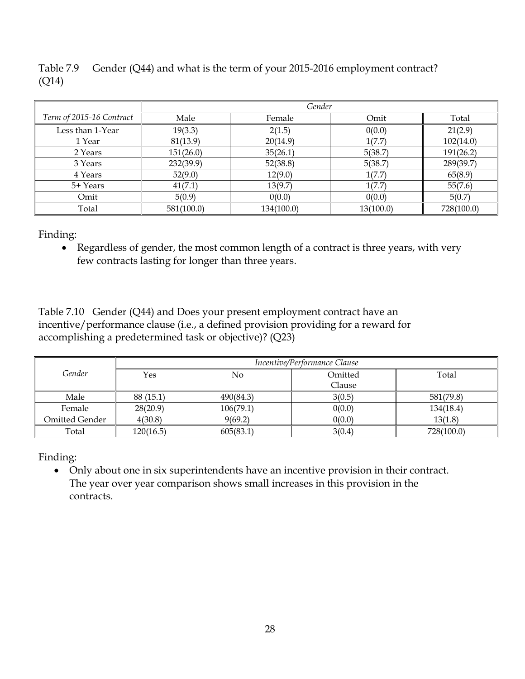Table 7.9 Gender (Q44) and what is the term of your 2015-2016 employment contract? (Q14)

|                          | Gender     |            |           |            |  |  |  |
|--------------------------|------------|------------|-----------|------------|--|--|--|
| Term of 2015-16 Contract | Male       | Female     | Omit      | Total      |  |  |  |
| Less than 1-Year         | 19(3.3)    | 2(1.5)     | 0(0.0)    | 21(2.9)    |  |  |  |
| 1 Year                   | 81(13.9)   | 20(14.9)   | 1(7.7)    | 102(14.0)  |  |  |  |
| 2 Years                  | 151(26.0)  | 35(26.1)   | 5(38.7)   | 191(26.2)  |  |  |  |
| 3 Years                  | 232(39.9)  | 52(38.8)   | 5(38.7)   | 289(39.7)  |  |  |  |
| 4 Years                  | 52(9.0)    | 12(9.0)    | 1(7.7)    | 65(8.9)    |  |  |  |
| 5+ Years                 | 41(7.1)    | 13(9.7)    | 1(7.7)    | 55(7.6)    |  |  |  |
| Omit                     | 5(0.9)     | 0(0.0)     | 0(0.0)    | 5(0.7)     |  |  |  |
| Total                    | 581(100.0) | 134(100.0) | 13(100.0) | 728(100.0) |  |  |  |

Finding:

 Regardless of gender, the most common length of a contract is three years, with very few contracts lasting for longer than three years.

Table 7.10 Gender (Q44) and Does your present employment contract have an incentive/performance clause (i.e., a defined provision providing for a reward for accomplishing a predetermined task or objective)? (Q23)

|                | Incentive/Performance Clause |           |         |            |  |  |  |  |
|----------------|------------------------------|-----------|---------|------------|--|--|--|--|
| Gender         | Yes                          | No        | Omitted | Total      |  |  |  |  |
|                |                              |           | Clause  |            |  |  |  |  |
| Male           | 88 (15.1)                    | 490(84.3) | 3(0.5)  | 581(79.8)  |  |  |  |  |
| Female         | 28(20.9)                     | 106(79.1) | 0(0.0)  | 134(18.4)  |  |  |  |  |
| Omitted Gender | 4(30.8)                      | 9(69.2)   | 0(0.0)  | 13(1.8)    |  |  |  |  |
| Total          | 120(16.5)                    | 605(83.1) | 3(0.4)  | 728(100.0) |  |  |  |  |

Finding:

 Only about one in six superintendents have an incentive provision in their contract. The year over year comparison shows small increases in this provision in the contracts.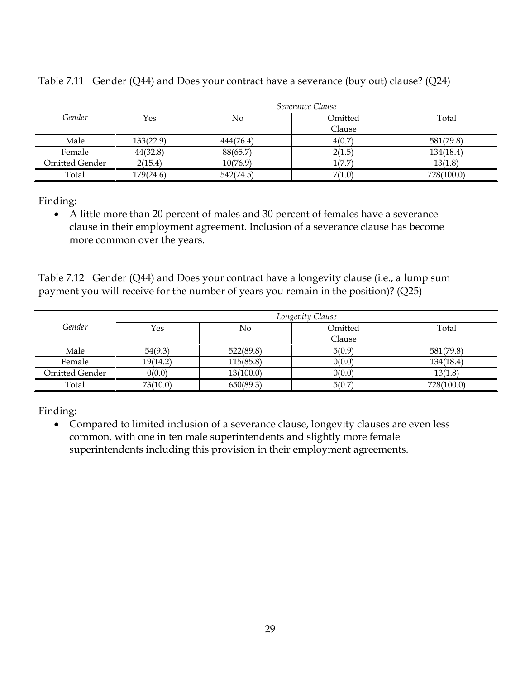|                | Severance Clause |           |         |            |  |  |  |  |
|----------------|------------------|-----------|---------|------------|--|--|--|--|
| Gender         | Yes              | No        | Omitted | Total      |  |  |  |  |
|                |                  |           | Clause  |            |  |  |  |  |
| Male           | 133(22.9)        | 444(76.4) | 4(0.7)  | 581(79.8)  |  |  |  |  |
| Female         | 44(32.8)         | 88(65.7)  | 2(1.5)  | 134(18.4)  |  |  |  |  |
| Omitted Gender | 2(15.4)          | 10(76.9)  | 1(7.7)  | 13(1.8)    |  |  |  |  |
| Total          | 179(24.6)        | 542(74.5) | 7(1.0)  | 728(100.0) |  |  |  |  |

Table 7.11 Gender (Q44) and Does your contract have a severance (buy out) clause? (Q24)

Finding:

 A little more than 20 percent of males and 30 percent of females have a severance clause in their employment agreement. Inclusion of a severance clause has become more common over the years.

Table 7.12 Gender (Q44) and Does your contract have a longevity clause (i.e., a lump sum payment you will receive for the number of years you remain in the position)? (Q25)

|                | Longevity Clause |           |         |            |  |  |  |  |
|----------------|------------------|-----------|---------|------------|--|--|--|--|
| Gender         | Yes              | No        | Omitted | Total      |  |  |  |  |
|                |                  |           | Clause  |            |  |  |  |  |
| Male           | 54(9.3)          | 522(89.8) | 5(0.9)  | 581(79.8)  |  |  |  |  |
| Female         | 19(14.2)         | 115(85.8) | 0(0.0)  | 134(18.4)  |  |  |  |  |
| Omitted Gender | 0(0.0)           | 13(100.0) | 0(0.0)  | 13(1.8)    |  |  |  |  |
| Total          | 73(10.0)         | 650(89.3) | 5(0.7)  | 728(100.0) |  |  |  |  |

Finding:

 Compared to limited inclusion of a severance clause, longevity clauses are even less common, with one in ten male superintendents and slightly more female superintendents including this provision in their employment agreements.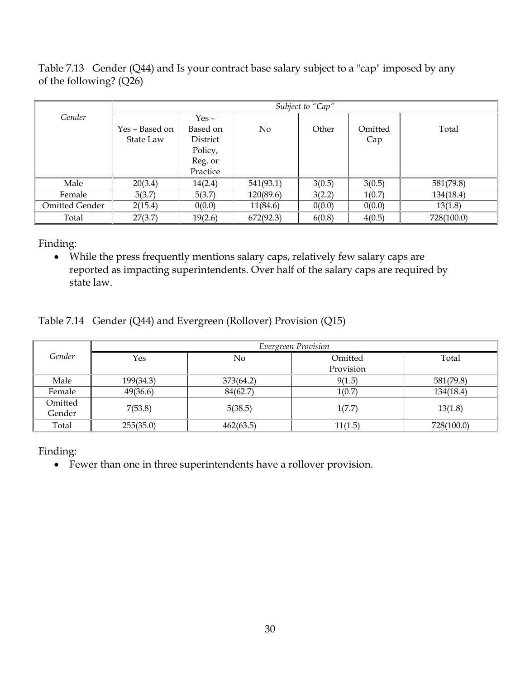Table 7.13 Gender (Q44) and Is your contract base salary subject to a "cap" imposed by any of the following? (Q26)

|                |                | Subject to "Cap" |           |        |         |            |  |  |  |
|----------------|----------------|------------------|-----------|--------|---------|------------|--|--|--|
| Gender         |                | $Yes -$          |           |        |         |            |  |  |  |
|                | Yes – Based on | Based on         | No        | Other  | Omitted | Total      |  |  |  |
|                | State Law      | District         |           |        | Cap     |            |  |  |  |
|                |                | Policy,          |           |        |         |            |  |  |  |
|                |                | Reg. or          |           |        |         |            |  |  |  |
|                |                | Practice         |           |        |         |            |  |  |  |
| Male           | 20(3.4)        | 14(2.4)          | 541(93.1) | 3(0.5) | 3(0.5)  | 581(79.8)  |  |  |  |
| Female         | 5(3.7)         | 5(3.7)           | 120(89.6) | 3(2.2) | 1(0.7)  | 134(18.4)  |  |  |  |
| Omitted Gender | 2(15.4)        | 0(0.0)           | 11(84.6)  | 0(0.0) | 0(0.0)  | 13(1.8)    |  |  |  |
| Total          | 27(3.7)        | 19(2.6)          | 672(92.3) | 6(0.8) | 4(0.5)  | 728(100.0) |  |  |  |

Finding:

 While the press frequently mentions salary caps, relatively few salary caps are reported as impacting superintendents. Over half of the salary caps are required by state law.

#### Table 7.14 Gender (Q44) and Evergreen (Rollover) Provision (Q15)

|                   | Evergreen Provision |           |           |            |  |  |  |  |  |
|-------------------|---------------------|-----------|-----------|------------|--|--|--|--|--|
| Gender            | Yes                 | No        | Omitted   | Total      |  |  |  |  |  |
|                   |                     |           | Provision |            |  |  |  |  |  |
| Male              | 199(34.3)           | 373(64.2) | 9(1.5)    | 581(79.8)  |  |  |  |  |  |
| Female            | 49(36.6)            | 84(62.7)  | 1(0.7)    | 134(18.4)  |  |  |  |  |  |
| Omitted<br>Gender | 7(53.8)             | 5(38.5)   | 1(7.7)    | 13(1.8)    |  |  |  |  |  |
| Total             | 255(35.0)           | 462(63.5) | 11(1.5)   | 728(100.0) |  |  |  |  |  |

Finding:

Fewer than one in three superintendents have a rollover provision.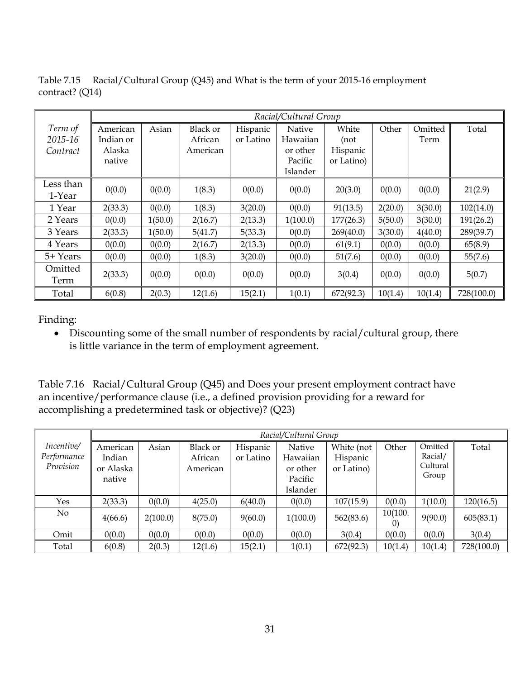*Term of 2015-16 Contract Racial/Cultural Group* American Indian or Alaska native Asian Black or African American Hispanic or Latino Native Hawaiian or other Pacific Islander White (not Hispanic or Latino) Other Omitted Term Total Less than  $1-Year$   $0(0.0)$   $0(0.0)$   $1(8.3)$   $0(0.0)$   $0(0.0)$   $0(0.0)$   $20(3.0)$   $0(0.0)$   $0(0.0)$   $21(2.9)$ 1 Year || 2(33.3) | 0(0.0) | 1(8.3) | 3(20.0) | 0(0.0) | 91(13.5) | 2(20.0) | 3(30.0) | 102(14.0) 2 Years || 0(0.0) || 1(50.0) || 2(16.7) || 2(13.3) || 1(100.0) || 177(26.3) || 5(50.0) || 3(30.0) || 191(26.2) 3 Years 2(33.3) 1(50.0) 5(41.7) 5(33.3) 0(0.0) 269(40.0) 3(30.0) 4(40.0) 289(39.7) 4 Years || 0(0.0) || 0(0.0) || 2(16.7) || 2(13.3) || 0(0.0) || 61(9.1) || 0(0.0) || 0(0.0) || 65(8.9) 5+ Years 0(0.0) 0(0.0) 1(8.3) 3(20.0) 0(0.0) 51(7.6) 0(0.0) 0(0.0) 55(7.6) Omitted Term  $2(33.3)$   $0(0.0)$   $0(0.0)$   $0(0.0)$   $0(0.0)$   $0(0.0)$   $3(0.4)$   $0(0.0)$   $0(0.0)$   $5(0.7)$  $\hbox{Total} \quad \parallel \quad 6 (0.8) \quad \parallel \; 2 (0.3) \quad \parallel \; 12 (1.6) \quad \parallel \; 15 (2.1) \quad \parallel \; 1 (0.1) \quad \parallel \; 672 (92.3) \quad \parallel \; 10 (1.4) \quad \parallel \; 728 (100.0)$ 

Table 7.15 Racial/Cultural Group (Q45) and What is the term of your 2015-16 employment contract? (Q14)

 Discounting some of the small number of respondents by racial/cultural group, there is little variance in the term of employment agreement.

Table 7.16 Racial/Cultural Group (Q45) and Does your present employment contract have an incentive/performance clause (i.e., a defined provision providing for a reward for accomplishing a predetermined task or objective)? (Q23)

|                                        |                                           |          |                                 |                       | Racial/Cultural Group                                 |                                      |                              |                                         |            |
|----------------------------------------|-------------------------------------------|----------|---------------------------------|-----------------------|-------------------------------------------------------|--------------------------------------|------------------------------|-----------------------------------------|------------|
| Incentive/<br>Performance<br>Provision | American<br>Indian<br>or Alaska<br>native | Asian    | Black or<br>African<br>American | Hispanic<br>or Latino | Native<br>Hawaiian<br>or other<br>Pacific<br>Islander | White (not<br>Hispanic<br>or Latino) | Other                        | Omitted<br>Racial/<br>Cultural<br>Group | Total      |
| Yes                                    | 2(33.3)                                   | 0(0.0)   | 4(25.0)                         | 6(40.0)               | 0(0.0)                                                | 107(15.9)                            | 0(0.0)                       | 1(10.0)                                 | 120(16.5)  |
| No                                     | 4(66.6)                                   | 2(100.0) | 8(75.0)                         | 9(60.0)               | 1(100.0)                                              | 562(83.6)                            | 10(100.<br>$\left( 0\right)$ | 9(90.0)                                 | 605(83.1)  |
| Omit                                   | 0(0.0)                                    | 0(0.0)   | 0(0.0)                          | 0(0.0)                | 0(0.0)                                                | 3(0.4)                               | 0(0.0)                       | 0(0.0)                                  | 3(0.4)     |
| Total                                  | 6(0.8)                                    | 2(0.3)   | 12(1.6)                         | 15(2.1)               | 1(0.1)                                                | 672(92.3)                            | 10(1.4)                      | 10(1.4)                                 | 728(100.0) |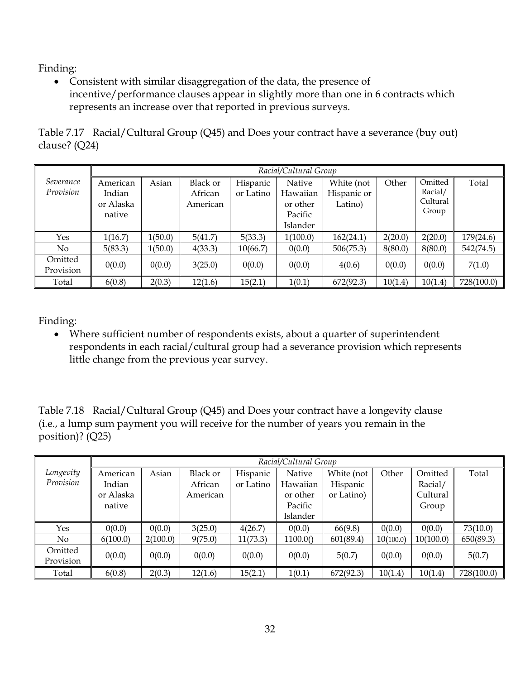Consistent with similar disaggregation of the data, the presence of incentive/performance clauses appear in slightly more than one in 6 contracts which represents an increase over that reported in previous surveys.

|                 | Table 7.17 Racial/Cultural Group (Q45) and Does your contract have a severance (buy out) |
|-----------------|------------------------------------------------------------------------------------------|
| clause? $(Q24)$ |                                                                                          |

|                        |                                           |         |                                        |                       | Racial/Cultural Group                                 |                                      |         |                                         |            |
|------------------------|-------------------------------------------|---------|----------------------------------------|-----------------------|-------------------------------------------------------|--------------------------------------|---------|-----------------------------------------|------------|
| Severance<br>Provision | American<br>Indian<br>or Alaska<br>native | Asian   | <b>Black or</b><br>African<br>American | Hispanic<br>or Latino | Native<br>Hawaiian<br>or other<br>Pacific<br>Islander | White (not<br>Hispanic or<br>Latino) | Other   | Omitted<br>Racial/<br>Cultural<br>Group | Total      |
| Yes                    | 1(16.7)                                   | 1(50.0) | 5(41.7)                                | 5(33.3)               | 1(100.0)                                              | 162(24.1)                            | 2(20.0) | 2(20.0)                                 | 179(24.6)  |
| $\overline{N}$         | 5(83.3)                                   | 1(50.0) | 4(33.3)                                | 10(66.7)              | 0(0.0)                                                | 506(75.3)                            | 8(80.0) | 8(80.0)                                 | 542(74.5)  |
| Omitted<br>Provision   | 0(0.0)                                    | 0(0.0)  | 3(25.0)                                | 0(0.0)                | 0(0.0)                                                | 4(0.6)                               | 0(0.0)  | 0(0.0)                                  | 7(1.0)     |
| Total                  | 6(0.8)                                    | 2(0.3)  | 12(1.6)                                | 15(2.1)               | 1(0.1)                                                | 672(92.3)                            | 10(1.4) | 10(1.4)                                 | 728(100.0) |

Finding:

 Where sufficient number of respondents exists, about a quarter of superintendent respondents in each racial/cultural group had a severance provision which represents little change from the previous year survey.

Table 7.18 Racial/Cultural Group (Q45) and Does your contract have a longevity clause (i.e., a lump sum payment you will receive for the number of years you remain in the position)? (Q25)

|           |           |          |                 |           | Racial/Cultural Group |            |           |           |            |
|-----------|-----------|----------|-----------------|-----------|-----------------------|------------|-----------|-----------|------------|
| Longevity | American  | Asian    | <b>Black or</b> | Hispanic  | Native                | White (not | Other     | Omitted   | Total      |
| Provision | Indian    |          | African         | or Latino | Hawaiian              | Hispanic   |           | Racial/   |            |
|           | or Alaska |          | American        |           | or other              | or Latino) |           | Cultural  |            |
|           | native    |          |                 |           | Pacific               |            |           | Group     |            |
|           |           |          |                 |           | Islander              |            |           |           |            |
| Yes       | 0(0.0)    | 0(0.0)   | 3(25.0)         | 4(26.7)   | 0(0.0)                | 66(9.8)    | 0(0.0)    | 0(0.0)    | 73(10.0)   |
| No.       | 6(100.0)  | 2(100.0) | 9(75.0)         | 11(73.3)  | 1100.0()              | 601(89.4)  | 10(100.0) | 10(100.0) | 650(89.3)  |
| Omitted   | 0(0.0)    | 0(0.0)   | 0(0.0)          | 0(0.0)    | 0(0.0)                | 5(0.7)     | 0(0.0)    | 0(0.0)    | 5(0.7)     |
| Provision |           |          |                 |           |                       |            |           |           |            |
| Total     | 6(0.8)    | 2(0.3)   | 12(1.6)         | 15(2.1)   | 1(0.1)                | 672(92.3)  | 10(1.4)   | 10(1.4)   | 728(100.0) |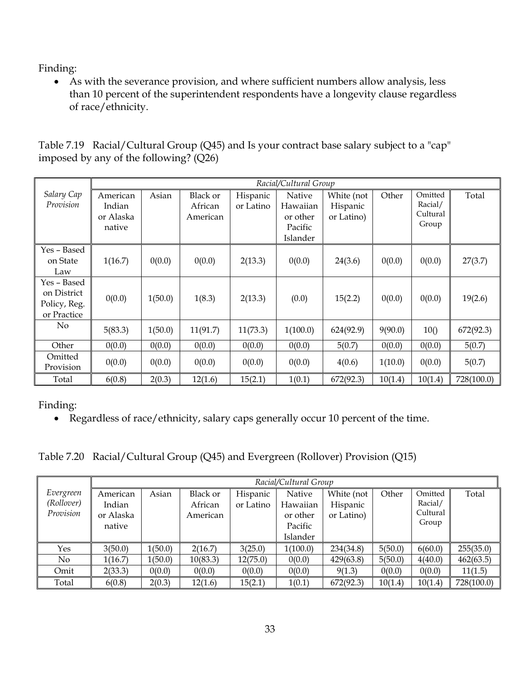As with the severance provision, and where sufficient numbers allow analysis, less than 10 percent of the superintendent respondents have a longevity clause regardless of race/ethnicity.

| Table 7.19 Racial/Cultural Group (Q45) and Is your contract base salary subject to a "cap" |  |  |  |
|--------------------------------------------------------------------------------------------|--|--|--|
| imposed by any of the following? $(Q26)$                                                   |  |  |  |

|                                                           |                                           | Racial/Cultural Group |                                 |                       |                                                       |                                      |         |                                         |            |
|-----------------------------------------------------------|-------------------------------------------|-----------------------|---------------------------------|-----------------------|-------------------------------------------------------|--------------------------------------|---------|-----------------------------------------|------------|
| Salary Cap<br>Provision                                   | American<br>Indian<br>or Alaska<br>native | Asian                 | Black or<br>African<br>American | Hispanic<br>or Latino | Native<br>Hawaiian<br>or other<br>Pacific<br>Islander | White (not<br>Hispanic<br>or Latino) | Other   | Omitted<br>Racial/<br>Cultural<br>Group | Total      |
| Yes - Based<br>on State<br>Law                            | 1(16.7)                                   | 0(0.0)                | 0(0.0)                          | 2(13.3)               | 0(0.0)                                                | 24(3.6)                              | 0(0.0)  | 0(0.0)                                  | 27(3.7)    |
| Yes - Based<br>on District<br>Policy, Reg.<br>or Practice | 0(0.0)                                    | 1(50.0)               | 1(8.3)                          | 2(13.3)               | (0.0)                                                 | 15(2.2)                              | 0(0.0)  | 0(0.0)                                  | 19(2.6)    |
| No                                                        | 5(83.3)                                   | 1(50.0)               | 11(91.7)                        | 11(73.3)              | 1(100.0)                                              | 624(92.9)                            | 9(90.0) | 10()                                    | 672(92.3)  |
| Other                                                     | 0(0.0)                                    | 0(0.0)                | 0(0.0)                          | 0(0.0)                | 0(0.0)                                                | 5(0.7)                               | 0(0.0)  | 0(0.0)                                  | 5(0.7)     |
| Omitted<br>Provision                                      | 0(0.0)                                    | 0(0.0)                | 0(0.0)                          | 0(0.0)                | 0(0.0)                                                | 4(0.6)                               | 1(10.0) | 0(0.0)                                  | 5(0.7)     |
| Total                                                     | 6(0.8)                                    | 2(0.3)                | 12(1.6)                         | 15(2.1)               | 1(0.1)                                                | 672(92.3)                            | 10(1.4) | 10(1.4)                                 | 728(100.0) |

Finding:

Regardless of race/ethnicity, salary caps generally occur 10 percent of the time.

Table 7.20 Racial/Cultural Group (Q45) and Evergreen (Rollover) Provision (Q15)

|                                      |                                           |         |                                        |                       | Racial/Cultural Group                                 |                                      |         |                                         |            |
|--------------------------------------|-------------------------------------------|---------|----------------------------------------|-----------------------|-------------------------------------------------------|--------------------------------------|---------|-----------------------------------------|------------|
| Evergreen<br>(Rollover)<br>Provision | American<br>Indian<br>or Alaska<br>native | Asian   | <b>Black or</b><br>African<br>American | Hispanic<br>or Latino | Native<br>Hawaiian<br>or other<br>Pacific<br>Islander | White (not<br>Hispanic<br>or Latino) | Other   | Omitted<br>Racial/<br>Cultural<br>Group | Total      |
| Yes                                  | 3(50.0)                                   | 1(50.0) | 2(16.7)                                | 3(25.0)               | 1(100.0)                                              | 234(34.8)                            | 5(50.0) | 6(60.0)                                 | 255(35.0)  |
| No                                   | 1(16.7)                                   | 1(50.0) | 10(83.3)                               | 12(75.0)              | 0(0.0)                                                | 429(63.8)                            | 5(50.0) | 4(40.0)                                 | 462(63.5)  |
| Omit                                 | 2(33.3)                                   | 0(0.0)  | 0(0.0)                                 | 0(0.0)                | 0(0.0)                                                | 9(1.3)                               | 0(0.0)  | 0(0.0)                                  | 11(1.5)    |
| Total                                | 6(0.8)                                    | 2(0.3)  | 12(1.6)                                | 15(2.1)               | 1(0.1)                                                | 672(92.3)                            | 10(1.4) | 10(1.4)                                 | 728(100.0) |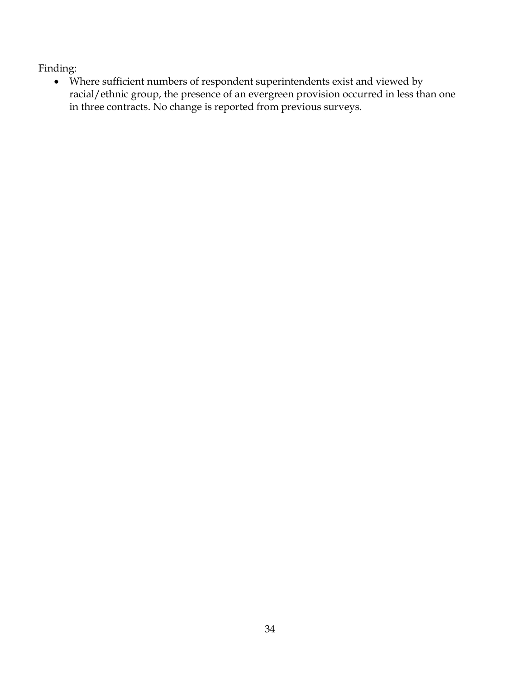Where sufficient numbers of respondent superintendents exist and viewed by racial/ethnic group, the presence of an evergreen provision occurred in less than one in three contracts. No change is reported from previous surveys.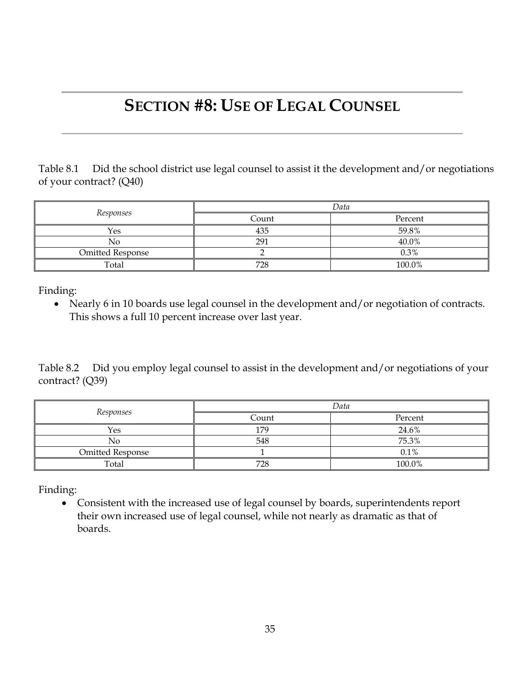## **SECTION #8: USE OF LEGAL COUNSEL**

Table 8.1 Did the school district use legal counsel to assist it the development and/or negotiations of your contract? (Q40)

|                         | Data  |         |  |  |
|-------------------------|-------|---------|--|--|
| Responses               | Count | Percent |  |  |
| Yes                     | 435   | 59.8%   |  |  |
| No                      | 291   | 40.0%   |  |  |
| <b>Omitted Response</b> |       | 0.3%    |  |  |
| Total                   | 728   | 100.0%  |  |  |

Finding:

• Nearly 6 in 10 boards use legal counsel in the development and/or negotiation of contracts. This shows a full 10 percent increase over last year.

Table 8.2 Did you employ legal counsel to assist in the development and/or negotiations of your contract? (Q39)

|                         | Data  |         |  |  |
|-------------------------|-------|---------|--|--|
| Responses               | Count | Percent |  |  |
| Yes                     | 179   | 24.6%   |  |  |
| No                      | 548   | 75.3%   |  |  |
| <b>Omitted Response</b> |       | 0.1%    |  |  |
| Total                   | 728   | 100.0%  |  |  |

Finding:

 Consistent with the increased use of legal counsel by boards, superintendents report their own increased use of legal counsel, while not nearly as dramatic as that of boards.